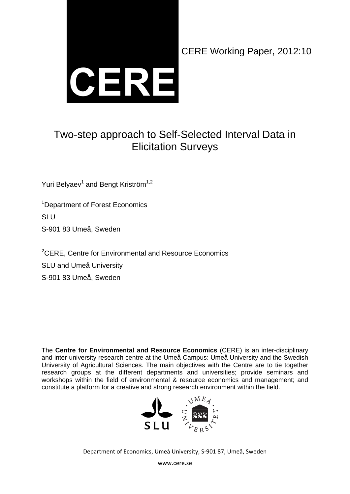

CERE Working Paper, 2012:10

## Two-step approach to Self-Selected Interval Data in Elicitation Surveys

Yuri Belyaev<sup>1</sup> and Bengt Kriström<sup>1,2</sup>

<sup>1</sup>Department of Forest Economics SLU S-901 83 Umeå, Sweden

<sup>2</sup>CERE, Centre for Environmental and Resource Economics SLU and Umeå University S-901 83 Umeå, Sweden

The **Centre for Environmental and Resource Economics** (CERE) is an inter-disciplinary and inter-university research centre at the Umeå Campus: Umeå University and the Swedish University of Agricultural Sciences. The main objectives with the Centre are to tie together research groups at the different departments and universities; provide seminars and workshops within the field of environmental & resource economics and management; and constitute a platform for a creative and strong research environment within the field.



Department of Economics, Umeå University, S‐901 87, Umeå, Sweden

www.cere.se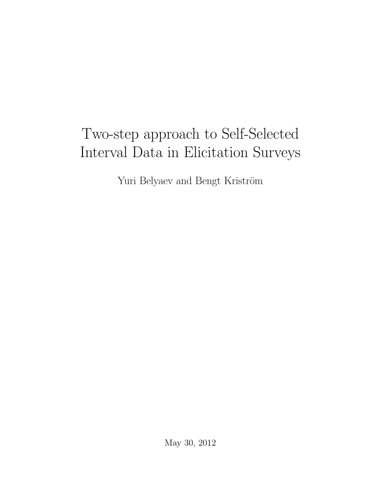# Two-step approach to Self-Selected Interval Data in Elicitation Surveys

Yuri Belyaev and Bengt Kriström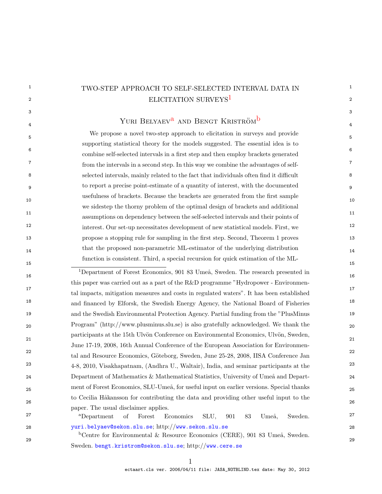## $^\mathrm{1}$   $\,$  TWO-STEP APPROACH TO SELF-SELECTED INTERVAL DATA IN  $\,$   $^\mathrm{1}$  $\rm _2$   $\rm _2$   $\rm _2$   $\rm _2$   $\rm _2$   $\rm _2$   $\rm _2$   $\rm _2$   $\rm _2$   $\rm _2$   $\rm _2$   $\rm _2$   $\rm _2$   $\rm _2$   $\rm _2$   $\rm _2$   $\rm _2$   $\rm _2$   $\rm _2$   $\rm _2$   $\rm _2$   $\rm _2$   $\rm _2$   $\rm _2$   $\rm _2$   $\rm _2$   $\rm _2$   $\rm _2$   $\rm _2$   $\rm _2$   $\rm _2$   $\rm _$

#### $3$  $\frac{1}{4}$   $\frac{1}{4}$   $\frac{1}{4}$ Yuri Bely[a](#page-2-1)ev<sup>a</sup> and Bengt Kriström<sup>[b](#page-2-2)</sup>

5 5 We propose a novel two-step approach to elicitation in surveys and provide 6 6 combine self-selected intervals in a first step and then employ brackets generated 7 7 from the intervals in a second step. In this way we combine the advantages of self-8 8 selected intervals, mainly related to the fact that individuals often find it difficult 9 9 to report a precise point-estimate of a quantity of interest, with the documented  $10$ 11 11 assumptions on dependency between the self-selected intervals and their points of 12 12 interest. Our set-up necessitates development of new statistical models. First, we 13 13 propose a stopping rule for sampling in the first step. Second, Theorem 1 proves that the proposed non-parametric ML-estimator of the underlying distribution 14  $15$  15 supporting statistical theory for the models suggested. The essential idea is to usefulness of brackets. Because the brackets are generated from the first sample we sidestep the thorny problem of the optimal design of brackets and additional function is consistent. Third, a special recursion for quick estimation of the ML-

<span id="page-2-0"></span> $16$  16  $\frac{1}{2}$   $\frac{1}{2}$   $\frac{1}{2}$  16 17 17 tal impacts, mitigation measures and costs in regulated waters". It has been established <sup>18</sup> 18 and financed by Elforsk, the Swedish Energy Agency, the National Board of Fisheries<sup>18</sup> 19 19 and the Swedish Environmental Protection Agency. Partial funding from the "PlusMinus 20 20 Program" (http://www.plusminus.slu.se) is also gratefully acknowledged. We thank the 21 21 <sup>22</sup> tal and Resource Economics, Göteborg, Sweden, June 25-28, 2008, IISA Conference Jan<sup>22</sup> <sup>23</sup> 4-8, 2010, Visakhapatnam, (Andhra U., Waltair), India, and seminar participants at the <sup>23</sup> 24 Department of Mathematics & Mathematical Statistics, University of Umeå and Depart-24 25 ment of Forest Economics, SLU-Umeå, for useful input on earlier versions. Special thanks 25 26 26 <sup>27</sup> <sup>a</sup> Department of Forest Economics SLU 901 83 Umeå Sweden <sup>27</sup> <sup>1</sup>Department of Forest Economics, 901 83 Umeå, Sweden. The research presented in this paper was carried out as a part of the R&D programme "Hydropower - Environmenparticipants at the 15th Ulvön Conference on Environmental Economics, Ulvön, Sweden, June 17-19, 2008, 16th Annual Conference of the European Association for Environmento Cecilia Håkansson for contributing the data and providing other useful input to the paper. The usual disclaimer applies.

<span id="page-2-1"></span>28 28 [yuri.belyaev@sekon.slu.se](mailto:yuri.belyaev@sekon.slu.se); http://[www.sekon.slu.se](http://www.sekon.slu.se) <sup>a</sup>Department of Forest Economics SLU, 901 83 Umeå, Sweden.

<span id="page-2-2"></span> $29$  $b$ Centre for Environmental & Resource Economics (CERE), 901 83 Umeå, Sweden. Sweden. [bengt.kristrom@sekon.slu.se](mailto:bengt.kristrom@sekon.slu.se); http://[www.cere.se](http://www.cere.se)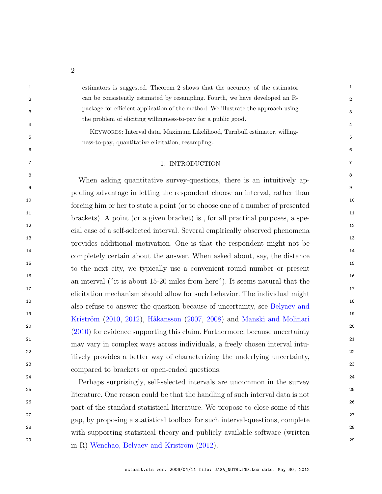<sup>1</sup> 1 estimators is suggested. Theorem 2 shows that the accuracy of the estimator <sup>1</sup> 2 2 can be consistently estimated by resampling. Fourth, we have developed an R-3 3 package for efficient application of the method. We illustrate the approach using 4 4 the problem of eliciting willingness-to-pay for a public good.

 $5$ Keywords: Interval data, Maximum Likelihood, Turnbull estimator, willingness-to-pay, quantitative elicitation, resampling..

#### 7 7 1. INTRODUCTION

 $6$ 

<sup>8</sup><br>When asking quantitative survey-questions, there is an intuitively ap-9 9 pealing advantage in letting the respondent choose an interval, rather than 10 10 forcing him or her to state a point (or to choose one of a number of presented <sup>11</sup> brackets). A point (or a given bracket) is, for all practical purposes, a spe-12 12 cial case of a self-selected interval. Several empirically observed phenomena 13 13 provides additional motivation. One is that the respondent might not be <sup>14</sup> completely certain about the answer. When asked about, say, the distance 15 15 to the next city, we typically use a convenient round number or present <sup>16</sup> 16 16 16 16 an interval ("it is about 15-20 miles from here"). It seems natural that the <sup>17</sup> elicitation mechanism should allow for such behavior. The individual might <sup>18</sup> 18 also refuse to answer the question because of uncertainty, see [Belyaev and](#page-44-0) <sup>18</sup> <sup>19</sup> 19 Kriström [\(2010,](#page-44-0) [2012\)](#page-44-1), Håkansson [\(2007,](#page-45-0) [2008\)](#page-45-1) and [Manski and Molinari](#page-45-2)<sup>19</sup>  $(2010)$  for evidence supporting this claim. Furthermore, because uncertainty 21 21 may vary in complex ways across individuals, a freely chosen interval intu-22 22 itively provides a better way of characterizing the underlying uncertainty, 23 23 compared to brackets or open-ended questions.

 24 Perhaps surprisingly, self-selected intervals are uncommon in the survey 25 literature. One reason could be that the handling of such interval data is not 26 part of the standard statistical literature. We propose to close some of this 27 gap, by proposing a statistical toolbox for such interval-questions, complete 28 with supporting statistical theory and publicly available software (written 29 29 in R) Wenchao, Belyaev and Kriström  $(2012)$ .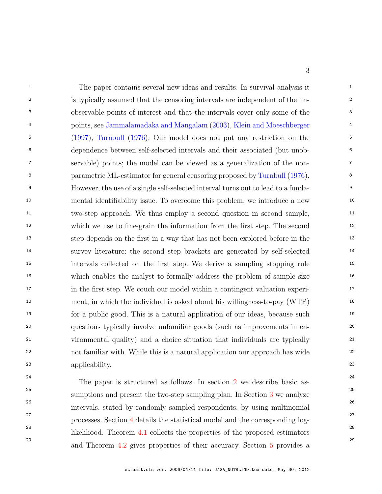<sup>1</sup> 1 1 The paper contains several new ideas and results. In survival analysis it 2 is typically assumed that the censoring intervals are independent of the un- 3 observable points of interest and that the intervals cover only some of the 4 points, see [Jammalamadaka and Mangalam](#page-45-4) [\(2003\)](#page-45-4), [Klein and Moeschberger](#page-45-5) 5 [\(1997\)](#page-45-5), [Turnbull](#page-45-6) [\(1976\)](#page-45-6). Our model does not put any restriction on the 6 dependence between self-selected intervals and their associated (but unob- 7 servable) points; the model can be viewed as a generalization of the non- 8 parametric ML-estimator for general censoring proposed by [Turnbull](#page-45-6) [\(1976\)](#page-45-6). 9 However, the use of a single self-selected interval turns out to lead to a funda- 10 mental identifiability issue. To overcome this problem, we introduce a new <sup>11</sup> two-step approach. We thus employ a second question in second sample, <sup>11</sup> 12 which we use to fine-grain the information from the first step. The second 13 step depends on the first in a way that has not been explored before in the 14 survey literature: the second step brackets are generated by self-selected 15 intervals collected on the first step. We derive a sampling stopping rule 16 which enables the analyst to formally address the problem of sample size 17 in the first step. We couch our model within a contingent valuation experi- 18 ment, in which the individual is asked about his willingness-to-pay (WTP) 19 for a public good. This is a natural application of our ideas, because such 20 questions typically involve unfamiliar goods (such as improvements in en- 21 vironmental quality) and a choice situation that individuals are typically 22 not familiar with. While this is a natural application our approach has wide 23 applicability.

<sup>[2](#page-5-0)4</sup> <sup>24</sup> The paper is structured as follows. In section 2 we describe basic as-<sup>25</sup> 25 sumptions and present the two-step sampling plan. In Section [3](#page-8-0) we analyze 26 intervals, stated by randomly sampled respondents, by using multinomial 27 processes. Section [4](#page-11-0) details the statistical model and the corresponding log-<sup>28</sup> 28 likelihood. Theorem [4.1](#page-14-0) collects the properties of the proposed estimators <sup>29</sup> 29 and Theorem [4.2](#page-18-0) gives properties of their accuracy. Section [5](#page-21-0) provides a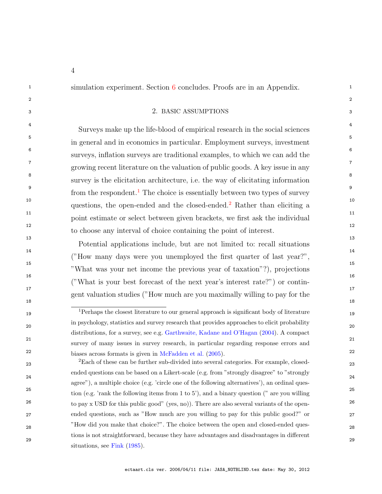<sup>1</sup> 1 simulation experiment. Section [6](#page-33-0) concludes. Proofs are in an Appendix.

### <span id="page-5-0"></span>2  $\sim$  2 3 3 2. BASIC ASSUMPTIONS

<sup>4</sup> Surveys make up the life-blood of empirical research in the social sciences 5 5 in general and in economics in particular. Employment surveys, investment 6 6 surveys, inflation surveys are traditional examples, to which we can add the 7 7 growing recent literature on the valuation of public goods. A key issue in any 8 8 survey is the elicitation architecture, i.e. the way of elicitating information <sup>9</sup> from the respondent.<sup>[1](#page-5-1)</sup> The choice is essentially between two types of survey <sup>10</sup> questions, the open-ended and the closed-ended.<sup>[2](#page-5-2)</sup> Rather than eliciting a<sup>10</sup> <sup>11</sup> 11 point estimate or select between given brackets, we first ask the individual 12 12 to choose any interval of choice containing the point of interest.

 $13$  $14$  $15$  15  $16$  $17$  and  $17$ Potential applications include, but are not limited to: recall situations ("How many days were you unemployed the first quarter of last year?", "What was your net income the previous year of taxation"?), projections ("What is your best forecast of the next year's interest rate?") or contingent valuation studies ("How much are you maximally willing to pay for the

<span id="page-5-1"></span><sup>19</sup> 19 <sup>1</sup>Perhaps the closest literature to our general approach is significant body of literature 20 20 in psychology, statistics and survey research that provides approaches to elicit probability 21 21 survey of many issues in survey research, in particular regarding response errors and 22 22 biases across formats is given in [McFadden et al.](#page-45-7) [\(2005\)](#page-45-7). distributions, for a survey, see e.g. [Garthwaite, Kadane and O'Hagan](#page-44-2) [\(2004\)](#page-44-2). A compact

<span id="page-5-2"></span><sup>23</sup> 23 <sup>2</sup>Each of these can be further sub-divided into several categories. For example, closed-24 24 ended questions can be based on a Likert-scale (e.g. from "strongly disagree" to "strongly 25 25 tion (e.g. 'rank the following items from 1 to 5'), and a binary question (" are you willing <sup>26</sup> to pay x USD for this public good" (yes, no)). There are also several variants of the open-27 27 ended questions, such as "How much are you willing to pay for this public good?" or 28 28 "How did you make that choice?". The choice between the open and closed-ended ques-29 29 agree"), a multiple choice (e.g. 'circle one of the following alternatives'), an ordinal questions is not straightforward, because they have advantages and disadvantages in different situations, see [Fink](#page-44-3) [\(1985\)](#page-44-3).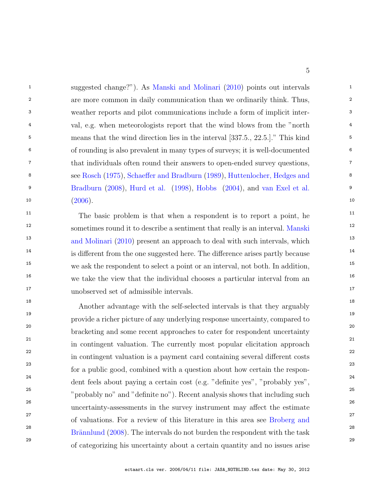<sup>1</sup> suggested change?"). As [Manski and Molinari](#page-45-2) [\(2010\)](#page-45-2) points out intervals 2 2 are more common in daily communication than we ordinarily think. Thus, 3 3 weather reports and pilot communications include a form of implicit inter-<sup>4</sup> val, e.g. when meteorologists report that the wind blows from the "north" <sup>5</sup> 5 means that the wind direction lies in the interval [337.5., 22.5.]." This kind 6 6 of rounding is also prevalent in many types of surveys; it is well-documented 7 7 that individuals often round their answers to open-ended survey questions, 8 8 see [Rosch](#page-45-8) [\(1975\)](#page-45-8), [Schaeffer and Bradburn](#page-45-9) [\(1989\)](#page-45-9), [Huttenlocher, Hedges and](#page-45-10) 9 9 [Bradburn](#page-45-10) [\(2008\)](#page-45-10), [Hurd et al.](#page-44-4) [\(1998\)](#page-44-4), [Hobbs](#page-44-5) [\(2004\)](#page-44-5), and [van Exel et al.](#page-45-11)  $(2006)$  10  $(2006).$  $(2006).$ 

<sup>11</sup> The basic problem is that when a respondent is to report a point, he<sup>11</sup> <sup>12</sup> sometimes round it to describe a sentiment that really is an interval. [Manski](#page-45-2) <sup>13</sup> 13 [and Molinari](#page-45-2) [\(2010\)](#page-45-2) present an approach to deal with such intervals, which <sup>13</sup> <sup>14</sup> is different from the one suggested here. The difference arises partly because <sup>14</sup> <sup>15</sup> we ask the respondent to select a point or an interval, not both. In addition, <sup>16</sup> we take the view that the individual chooses a particular interval from an <sup>16</sup> 17 17 unobserved set of admissible intervals.

<sup>18</sup><br>Another advantage with the self-selected intervals is that they arguably 19 19 provide a richer picture of any underlying response uncertainty, compared to 20 20 bracketing and some recent approaches to cater for respondent uncertainty <sup>21</sup> in contingent valuation. The currently most popular elicitation approach<sup>21</sup> 22 22 in contingent valuation is a payment card containing several different costs 23 23 for a public good, combined with a question about how certain the respon-<sup>24</sup> dent feels about paying a certain cost (e.g. "definite yes", "probably yes", <sup>24</sup> 25 25 "probably no" and "definite no"). Recent analysis shows that including such 26 26 uncertainty-assessments in the survey instrument may affect the estimate <sup>27</sup> <sup>27</sup> of valuations. For a review of this literature in this area see [Broberg and](#page-44-6) <sup>27</sup> <sup>28</sup> <sup>28</sup> <sup>28</sup> Brännlund [\(2008\)](#page-44-6). The intervals do not burden the respondent with the task 29 29 of categorizing his uncertainty about a certain quantity and no issues arise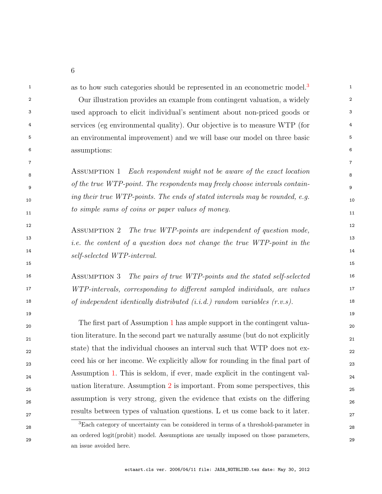<sup>1</sup> as to how such categories should be represented in an econometric model.<sup>[3](#page-7-0)</sup>

 2 Our illustration provides an example from contingent valuation, a widely 3 used approach to elicit individual's sentiment about non-priced goods or 4 services (eg environmental quality). Our objective is to measure WTP (for 5 an environmental improvement) and we will base our model on three basic 6 assumptions:

<span id="page-7-1"></span>7

 8 Assumption 1 Each respondent might not be aware of the exact location <sup>9</sup> 9 9 9 of the true WTP-point. The respondents may freely choose intervals contain- 10 ing their true WTP-points. The ends of stated intervals may be rounded, e.g. to simple sums of coins or paper values of money.

<span id="page-7-2"></span><sup>12</sup> ASSUMPTION 2 The true WTP-points are independent of question mode,  $i.e.$  the content of a question does not change the true WTP-point in the  $13$ 14 self-selected WTP-interval.

16 ASSUMPTION 3 The pairs of true WTP-points and the stated self-selected 16 17 WTP-intervals, corresponding to different sampled individuals, are values 18 of independent identically distributed (i.i.d.) random variables (r.v.s).

<span id="page-7-3"></span>15

 20 The first part of Assumption [1](#page-7-1) has ample support in the contingent valua-<sup>21</sup> <sup>21</sup> tion literature. In the second part we naturally assume (but do not explicitly 22 state) that the individual chooses an interval such that WTP does not ex- 23 ceed his or her income. We explicitly allow for rounding in the final part of 24 Assumption [1.](#page-7-1) This is seldom, if ever, made explicit in the contingent val- 25 uation literature. Assumption [2](#page-7-2) is important. From some perspectives, this 26 assumption is very strong, given the evidence that exists on the differing 27 results between types of valuation questions. L et us come back to it later.

<span id="page-7-0"></span> 28 <sup>3</sup>Each category of uncertainty can be considered in terms of a threshold-parameter in 29 an ordered logit(probit) model. Assumptions are usually imposed on those parameters, an issue avoided here.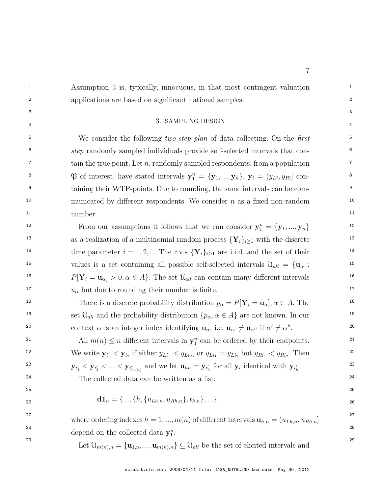<sup>1</sup> 1 Assumption [3](#page-7-3) is, typically, innocuous, in that most contingent valuation 2 2 applications are based on significant national samples.

#### <span id="page-8-0"></span> $3$  $\frac{1}{4}$  4 3. SAMPLING DESIGN

<sup>5</sup> 5 We consider the following *two-step plan* of data collecting. On the *first* <sup>6</sup> step randomly sampled individuals provide self-selected intervals that con- $\tau$  tain the true point. Let *n*, randomly sampled respondents, from a population  $\tau$ 8 8 P of interest, have stated intervals y n <sup>1</sup> = {y1, ..., yn}, y<sup>i</sup> = (yLi, yRi] con-<sup>9</sup> taining their WTP-points. Due to rounding, the same intervals can be com-<sup>10</sup> municated by different respondents. We consider *n* as a fixed non-random 11 mumber to the manufacture of the state of the state of the state of the state of the state of the state of the state of the state of the state of the state of the state of the state of the state of the state of the stat number.

12 From our assumptions it follows that we can consider  $y_1^n = \{y_1, ..., y_n\}$  12 <sup>13</sup> 13 13 as a realization of a multinomial random process  $\{Y_i\}_{i\geq 1}$  with the discrete <sup>14</sup> time parameter  $i = 1, 2, ...$  The r.v.s  $\{Y_i\}_{i \geq 1}$  are i.i.d. and the set of their <sup>15</sup> 15 values is a set containing all possible self-selected intervals  $\mathcal{U}_{all} = {\mathbf{u}_{\alpha}} :$ <sup>16</sup>  $P[Y_i = u_\alpha] > 0, \alpha \in A$ . The set  $\mathcal{U}_{all}$  can contain many different intervals <sup>17</sup>  $u_{\alpha}$  but due to rounding their number is finite.

<sup>18</sup> 18 18 18 There is a discrete probability distribution  $p_{\alpha} = P[\mathbf{Y}_i = \mathbf{u}_{\alpha}], \alpha \in A$ . The 19 19 set Uall and the probability distribution {pα, α ∈ A} are not known. In our 20 context  $\alpha$  is an integer index identifying  $\mathbf{u}_{\alpha}$ , i.e.  $\mathbf{u}_{\alpha'} \neq \mathbf{u}_{\alpha''}$  if  $\alpha' \neq \alpha''$ .

<sup>21</sup> All  $m(n) \leq n$  different intervals in  $y_1^n$  can be ordered by their endpoints.<sup>21</sup> <sup>22</sup> We write  $y_{i_1} < y_{i_2}$  if either  $y_{Li_1} < y_{Li_2}$ , or  $y_{Li_1} = y_{Li_2}$  but  $y_{Ri_1} < y_{Ri_2}$ . Then <sup>22</sup> 23  ${\bf y}_{i'_1} < {\bf y}_{i'_2} < ... < {\bf y}_{i'_{m(n)}}$  and we let  ${\bf u}_{hn} = {\bf y}_{i'_h}$  for all  ${\bf y}_i$  identical with  ${\bf y}_{i'_h}$ .

24 24 The collected data can be written as a list:

$$
\mathbf{d1}_n = \{..., \{h, \{u_{Lh,n}, u_{Rh,n}\}, t_{h,n}\}, ...\},
$$

<sup>27</sup> where ordering indexes  $h = 1, ..., m(n)$  of different intervals  $\mathbf{u}_{h,n} = (u_{Lh,n}, u_{Rh,n}]$ <sup>27</sup> 28 28 depend on the collected data  $y_1^n$ .

29 Let  $\mathcal{U}_{m(n),n} = {\mathbf{u}_{1,n}, ..., \mathbf{u}_{m(n),n}} \subseteq \mathcal{U}_{all}$  be the set of elicited intervals and 29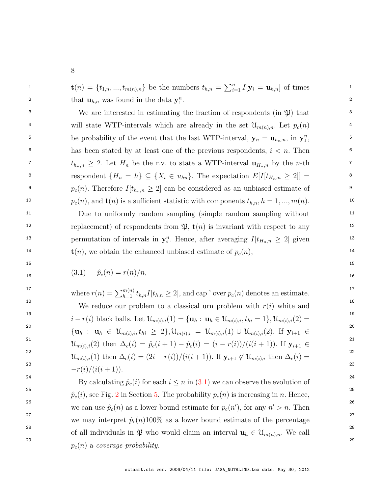$\mathbf{t}(n) = \{t_{1,n}, ..., t_{m(n),n}\}\$ be the numbers  $t_{h,n} = \sum_{i=1}^{n} I[\mathbf{y}_i = \mathbf{u}_{h,n}]$  of times 2 that  $\mathbf{u}_{h,n}$  was found in the data  $\mathbf{y}_1^n$ .

3 We are interested in estimating the fraction of respondents (in  $\mathfrak{P}$ ) that <sup>4</sup> will state WTP-intervals which are already in the set  $\mathcal{U}_{m(n),n}$ . Let  $p_c(n)$  <sup>4</sup> <sup>5</sup> be probability of the event that the last WTP-interval,  $y_n = u_{h_n,n}$ , in  $y_1^n$ , <sup>5</sup> <sup>6</sup> has been stated by at least one of the previous respondents,  $i < n$ . Then <sup>7</sup>  $t_{h_n,n} \geq 2$ . Let  $H_n$  be the r.v. to state a WTP-interval  $\mathbf{u}_{H_n,n}$  by the *n*-th <sup>8</sup> respondent  $\{H_n = h\} \subseteq \{X_i \in u_{hn}\}.$  The expectation  $E[I[t_{H_n,n} \geq 2]] =$ <sup>9</sup>  $p_c(n)$ . Therefore  $I[t_{h_n,n} \geq 2]$  can be considered as an unbiased estimate of <sup>10</sup>  $p_c(n)$ , and **t**(*n*) is a sufficient statistic with components  $t_{h,n}$ ,  $h = 1, ..., m(n)$ .

<sup>11</sup> Due to uniformly random sampling (simple random sampling without <sup>11</sup> <sup>12</sup> 12 replacement) of respondents from  $\mathfrak{P}, \mathbf{t}(n)$  is invariant with respect to any 13 permutation of intervals in  $y_i^n$ . Hence, after averaging  $I[t_{H_n,n} \geq 2]$  given  $\mathbf{t}(n)$ , we obtain the enhanced unbiased estimate of  $p_c(n)$ ,  $\hspace{1cm}$  14

<span id="page-9-0"></span> $15$  15

16 (3.1)  $P_{\mathcal{C}}(n) = \binom{n}{p} n$ ,  $\binom{n}{p}$  (3.1) (3.1)  $\hat{p}_c(n) = r(n)/n$ ,

17 and  $\sum_{i=1}^{m(n)}$  and  $\sum_{i=1}^{m(n)}$  and  $\sum_{i=1}^{m(n)}$  and  $\sum_{i=1}^{m(n)}$  and  $\sum_{i=1}^{m(n)}$  and  $\sum_{i=1}^{m(n)}$  and  $\sum_{i=1}^{m(n)}$  and  $\sum_{i=1}^{m(n)}$  and  $\sum_{i=1}^{m(n)}$  and  $\sum_{i=1}^{m(n)}$  and  $\sum_{i=1}^{m(n)}$  and  $\sum_{i=1}^{m(n)}$  an 18 18 <sup>19</sup>  $i - r(i)$  black balls. Let  $\mathcal{U}_{m(i),i}(1) = {\mathbf{u}_h : \mathbf{u}_h \in \mathcal{U}_{m(i),i}, t_{hi} = 1}, \mathcal{U}_{m(i),i}(2) =$ <sup>19</sup>  $\{ {\bf u}_h \; : \; \; {\bf u}_h \; \in \; \mathcal{U}_{m(i), i}, t_{hi} \; \geq \; 2 \}, \mathcal{U}_{m(i), i} \; = \; \mathcal{U}_{m(i), i}(1) \; \cup \; \mathcal{U}_{m(i), i}(2). \; \; {\rm If} \; \; {\bf y}_{i+1} \; \in \; 10^{-4}$ 21  $\mathcal{U}_{m(i),i}(2)$  then  $\Delta_c(i) = \hat{p}_c(i+1) - \hat{p}_c(i) = (i - r(i))/(i(i+1))$ . If  $\mathbf{y}_{i+1} \in$ <sup>22</sup>  $\mathcal{U}_{m(i),i}(1)$  then  $\Delta_c(i) = (2i - r(i))/(i(i+1))$ . If  $\mathbf{y}_{i+1} \notin \mathcal{U}_{m(i),i}$  then  $\Delta_c(i) =$ <sup>22</sup> 23 and  $(3.1)(1.6)$  and  $(2.3)$ <sup>24</sup> By calculating  $\hat{p}_c(i)$  for each  $i \leq n$  in [\(3.1\)](#page-9-0) we can observe the evolution of where  $r(n) = \sum_{h=1}^{m(n)} t_{h,n} I[t_{h,n} \geq 2]$ , and cap  $\hat{ }$  over  $p_c(n)$  denotes an estimate.We reduce our problem to a classical urn problem with  $r(i)$  white and  $-r(i)/(i(i+1)).$ 

<sup>[2](#page-23-0)5</sup> <sup>25</sup>  $\hat{p}_c(i)$ , see Fig. 2 in Section [5.](#page-21-0) The probability  $p_c(n)$  is increasing in n. Hence, <sup>26</sup> we can use  $\hat{p}_c(n)$  as a lower bound estimate for  $p_c(n')$ , for any  $n' > n$ . Then <sup>27</sup> 27 we may interpret  $\hat{p}_c(n)100\%$  as a lower bound estimate of the percentage 28 28  $29$ of all individuals in  $\mathfrak{P}$  who would claim an interval  $\mathbf{u}_h \in \mathcal{U}_{m(n),n}$ . We call  $p_c(n)$  a coverage probability.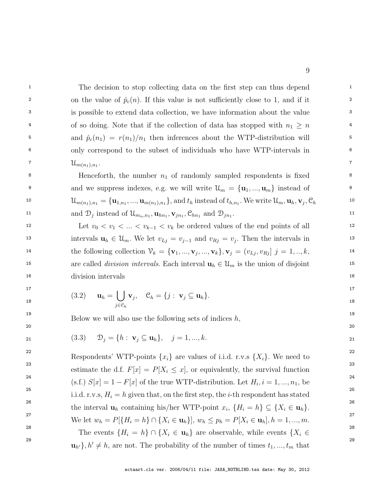<sup>1</sup> 1 The decision to stop collecting data on the first step can thus depend 2 on the value of  $\hat{p}_c(n)$ . If this value is not sufficiently close to 1, and if it 2 3 3 is possible to extend data collection, we have information about the value <sup>4</sup> 6 of so doing. Note that if the collection of data has stopped with  $n_1 \geq n$ <sup>5</sup> and  $\hat{p}_c(n_1) = r(n_1)/n_1$  then inferences about the WTP-distribution will <sup>5</sup> 6 6 only correspond to the subset of individuals who have WTP-intervals in  $\mathcal{U}_{m(n)}$  ,  $n \cdot$  .  $\mathcal{U}_{m(n_1),n_1}.$ 

<sup>8</sup> Henceforth, the number  $n_1$  of randomly sampled respondents is fixed  $\frac{8}{3}$ <sup>9</sup> and we suppress indexes, e.g. we will write  $\mathcal{U}_m = {\mathbf{u}_1, ..., \mathbf{u}_m}$  instead of 10  $\mathcal{U}_{m(n_1),n_1} = {\mathbf{u}_{1,n_1}, ..., \mathbf{u}_{m(n_1),n_1}}, \text{and } t_h \text{ instead of } t_{h,n_1}.$  We write  $\mathcal{U}_m, \mathbf{u}_h, \mathbf{v}_j, \mathcal{C}_h$  10 11 and  $\mathcal{D}_j$  instead of  $\mathcal{U}_{m_n,n_1}, \mathbf{u}_{hn_1}, \mathbf{v}_{jn_1}, \mathcal{C}_{hn_1}$  and  $\mathcal{D}_{jn_1}$ .

12 12 Let  $v_0 < v_1 < ... < v_{k-1} < v_k$  be ordered values of the end points of all 12 13 intervals  $u_h \in \mathcal{U}_m$ . We let  $v_{Lj} = v_{j-1}$  and  $v_{Rj} = v_j$ . Then the intervals in 14 the following collection  $V_k = {\mathbf{v}_1, ..., \mathbf{v}_j, ..., \mathbf{v}_k}$ ,  $\mathbf{v}_j = (v_{Lj}, v_{Rj}]$   $j = 1, ..., k$ , 14 15 15 15 are called *division intervals*. Each interval  $\mathbf{u}_h \in \mathcal{U}_m$  is the union of disjoint 15 16 16 division intervals

<span id="page-10-1"></span>
$$
\mathbf{u}_h = \bigcup_{j \in \mathcal{C}_h} \mathbf{v}_j, \quad \mathcal{C}_h = \{j : \mathbf{v}_j \subseteq \mathbf{u}_h\}.
$$

<span id="page-10-0"></span>19 19 19 19 19 Below we will also use the following sets of indices  $h$ ,

21 
$$
(3.3)
$$
  $\mathcal{D}_j = \{h : \mathbf{v}_j \subseteq \mathbf{u}_h\}, \quad j = 1, ..., k.$ 

 $20$ 

<sup>22</sup> Respondents' WTP-points  $\{x_i\}$  are values of i.i.d. r.v.s  $\{X_i\}$ . We need to <sup>23</sup> estimate the d.f.  $F[x] = P[X_i \leq x]$ , or equivalently, the survival function<sup>23</sup> <sup>24</sup> (s.f.)  $S[x] = 1 - F[x]$  of the true WTP-distribution. Let  $H_i, i = 1, ..., n_1$ , be 25 25 <sup>26</sup> the interval  $\mathbf{u}_h$  containing his/her WTP-point  $x_i$ ,  $\{H_i = h\} \subseteq \{X_i \in \mathbf{u}_h\}$ . 27 27 We let  $w_h = P[\{H_i = h\} \cap \{X_i \in \mathbf{u}_h\}], w_h \leq p_h = P[X_i \in \mathbf{u}_h], h = 1, ..., m.$ 28 28 28 28 28 The events  $\{H_i = h\} \cap \{X_i \in \mathbf{u}_h\}$  are observable, while events  $\{X_i \in \mathbb{R}^d\}$ i.i.d. r.v.s,  $H_i = h$  given that, on the first step, the *i*-th respondent has stated

<sup>29</sup>  $\mathbf{u}_{h'}$ ,  $h' \neq h$ , are not. The probability of the number of times  $t_1, ..., t_m$  that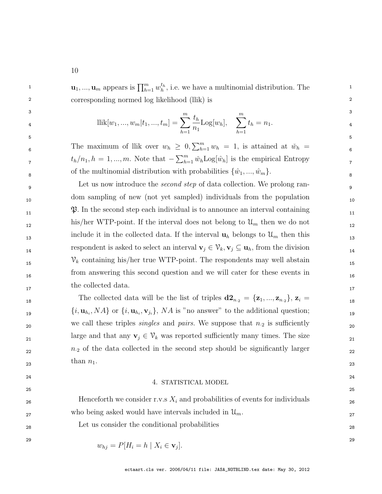<sup>1</sup> **u**<sub>1</sub>, ..., **u**<sub>m</sub> appears is  $\prod_{h=1}^{m} w_h^{t_h}$ , i.e. we have a multinomial distribution. The 2 2 corresponding normed log likelihood (llik) is

$$
\begin{aligned}\n\mathbf{1}_{4} & \qquad \qquad \text{llik}[w_{1}, \dots, w_{m}|t_{1}, \dots, t_{m}] = \sum_{h=1}^{m} \frac{t_{h}}{n_{1}} \text{Log}[w_{h}], \quad \sum_{h=1}^{m} t_{h} = n_{1}.\n\end{aligned}
$$

6 6 The maximum of llik over  $w_h \geq 0$ ,  $\sum_{h=1}^m w_h = 1$ , is attained at  $\tilde{w}_h = 0$  $t_h/n_1, h = 1, ..., m$ . Note that  $-\sum_{h=1}^m \check{w}_h \text{Log}[\hat{w}_h]$  is the empirical Entropy 8 8 of the multinomial distribution with probabilities {wˆ1, ...,wˆm}.

<sup>9</sup> 9 Let us now introduce the *second step* of data collection. We prolong ran-10 10 dom sampling of new (not yet sampled) individuals from the population  $\mathfrak{P}.$  In the second step each individual is to announce an interval containing  $\mathfrak{P}.$  $h$ is/her WTP-point. If the interval does not belong to  $\mathcal{U}_m$  then we do not include it in the collected data. If the interval  $\mathbf{u}_h$  belongs to  $\mathcal{U}_m$  then this respondent is asked to select an interval  $\mathbf{v}_j \in \mathcal{V}_k$ ,  $\mathbf{v}_j \subseteq \mathbf{u}_h$ , from the division  $v_k$  containing his/her true WTP-point. The respondents may well abstain 16 16 from answering this second question and we will cater for these events in 17 and concerted data. the collected data.

18 18 The collected data will be the list of triples d2<sup>n</sup>·<sup>2</sup> = {z1, ..., z<sup>n</sup>·<sup>2</sup> }, z<sup>i</sup> =  $\{i, \mathbf{u}_{h_i}, NA\}$  or  $\{i, \mathbf{u}_{h_i}, \mathbf{v}_{j_i}\}, NA$  is "no answer" to the additional question; 20 20 we call these triples singles and pairs. We suppose that n·<sup>2</sup> is sufficiently 21 large and that any  $\mathbf{v}_j \in \mathcal{V}_k$  was reported sufficiently many times. The size  $n_2$  of the data collected in the second step should be significantly larger 23 and  $\frac{1}{2}$  and  $\frac{1}{2}$  and  $\frac{1}{2}$  and  $\frac{1}{2}$  and  $\frac{1}{2}$  and  $\frac{1}{2}$  and  $\frac{1}{2}$  and  $\frac{1}{2}$  and  $\frac{1}{2}$  and  $\frac{1}{2}$  and  $\frac{1}{2}$  and  $\frac{1}{2}$  and  $\frac{1}{2}$  and  $\frac{1}{2}$  and  $\frac{1}{2}$  and  $\frac{$ than  $n_1$ .

#### <span id="page-11-0"></span>24 деном од 24 деном од 24 деном од 24 деном од 24 деном од 24 деном од 24 деном од 24 деном од 24  $25$ 4. STATISTICAL MODEL

| 26 | Henceforth we consider r.v.s $X_i$ and probabilities of events for individuals | 26 |
|----|--------------------------------------------------------------------------------|----|
| 27 | who being asked would have intervals included in $\mathcal{U}_m$ .             | 27 |
| 28 | Let us consider the conditional probabilities                                  | 28 |
| 29 |                                                                                | 29 |
|    | $w_{hj} = P[H_i = h \mid X_i \in \mathbf{v}_j].$                               |    |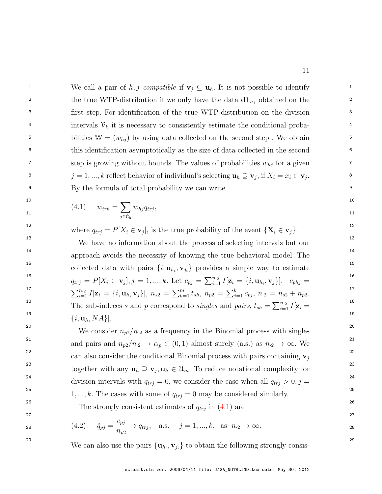<sup>1</sup> 1 We call a pair of h, j compatible if  $\mathbf{v}_j \subseteq \mathbf{u}_h$ . It is not possible to identify <sup>2</sup> the true WTP-distribution if we only have the data  $d\mathbf{1}_{n_1}$  obtained on the <sup>2</sup> 3 3 first step. For identification of the true WTP-distribution on the division <sup>4</sup> intervals  $V_k$  it is necessary to consistently estimate the conditional proba-<sup>5</sup> bilities  $W = (w_{hj})$  by using data collected on the second step. We obtain 6 6 this identification asymptotically as the size of data collected in the second  $\sigma$  step is growing without bounds. The values of probabilities  $w_{hj}$  for a given <sup>8</sup>  $j = 1, ..., k$  reflect behavior of individual's selecting  $\mathbf{u}_h \supseteq \mathbf{v}_j$ , if  $X_i = x_i \in \mathbf{v}_j$ . 9 9 By the formula of total probability we can write

<span id="page-12-0"></span>
$$
(4.1) \t w_{trh} = \sum_{j \in \mathcal{C}_h} w_{hj} q_{trj}, \t\t 11
$$

<sup>12</sup> where  $q_{trj} = P[X_i \in \mathbf{v}_j]$ , is the true probability of the event  $\{\mathbf{X}_i \in \mathbf{v}_j\}$ .

<sup>13</sup> <sup>13</sup> We have no information about the process of selecting intervals but our <sup>14</sup> approach avoids the necessity of knowing the true behavioral model. The <sup>14</sup> <sup>15</sup> collected data with pairs  $\{i, \mathbf{u}_{h_i}, \mathbf{v}_{j_i}\}$  provides a simple way to estimate 16  $q_{trj} = P[X_i \in \mathbf{v}_j], j = 1, ..., k$ . Let  $c_{pj} = \sum_{i=1}^{n} I[\mathbf{z}_i = \{i, \mathbf{u}_{h_i}, \mathbf{v}_j\}], \quad c_{phj} =$ 17  $\sum_{i=1}^{n_2} I[\mathbf{z}_i = \{i, \mathbf{u}_h, \mathbf{v}_j\}], n_{s2} = \sum_{h=1}^m t_{sh}, n_{p2} = \sum_{j=1}^k c_{pj}, n_{2} = n_{s2} + n_{p2}$ . 18 18  $\frac{19}{(11-11)^2}$  19 The sub-indeces s and p correspond to singles and pairs,  $t_{sh} = \sum_{i=1}^{n} I[\mathbf{z}_i =$  $\{i, \mathbf{u}_h, NA\}$ .

<sup>20</sup> <sup>20</sup> We consider  $n_{p2}/n_2$  as a frequency in the Binomial process with singles<sup>20</sup> and pairs and  $n_{p2}/n_2 \rightarrow \alpha_p \in (0,1)$  almost surely (a.s.) as  $n_2 \rightarrow \infty$ . We <sup>22</sup> can also consider the conditional Binomial process with pairs containing  $\mathbf{v}_j$ <sup>22</sup> <sup>23</sup> together with any  $\mathbf{u}_h \supseteq \mathbf{v}_j, \mathbf{u}_h \in \mathcal{U}_m$ . To reduce notational complexity for <sup>24</sup> division intervals with  $q_{trj} = 0$ , we consider the case when all  $q_{trj} > 0, j =$ <sup>24</sup> <sup>25</sup> <sup>25</sup> 1, ..., k. The cases with some of  $q_{trj} = 0$  may be considered similarly.

<span id="page-12-1"></span><sup>26</sup> 26 The strongly consistent estimates of  $q_{trj}$  in  $(4.1)$  are <sup>26</sup>

28 
$$
(4.2)
$$
  $\check{q}_{pj} = \frac{c_{pj}}{n_{p2}} \to q_{trj}, \text{ a.s. } j = 1, ..., k, \text{ as } n_{\cdot 2} \to \infty.$ 

<sup>29</sup> We can also use the pairs  $\{u_{h_i}, v_{j_i}\}\)$  to obtain the following strongly consis-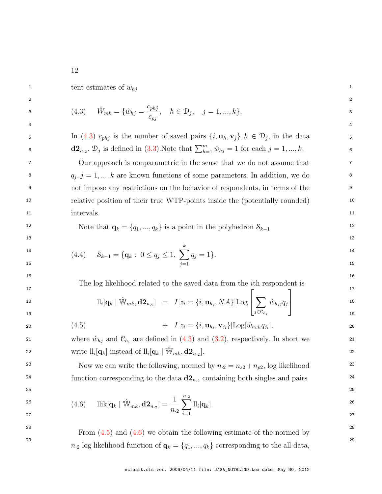<span id="page-13-0"></span>1 tent estimates of  $w_{hj}$  1

<span id="page-13-3"></span>

$$
(4.3) \quad \hat{W}_{mk} = \{\hat{w}_{hj} = \frac{c_{phj}}{c_{pj}}, \quad h \in \mathcal{D}_j, \quad j = 1, ..., k\}.
$$

5 In [\(4.3\)](#page-13-0)  $c_{phj}$  is the number of saved pairs  $\{i, \mathbf{u}_h, \mathbf{v}_j\}, h \in \mathcal{D}_j$ , in the data 6 **d2**<sub>n<sub>-2</sub></sub>.  $\mathcal{D}_j$  is defined in [\(3.3\)](#page-10-0). Note that  $\sum_{h=1}^m \hat{w}_{hj} = 1$  for each  $j = 1, ..., k$ .

2  $\sim$  2

4 4

7 7 Our approach is nonparametric in the sense that we do not assume that <sup>8</sup>  $q_j, j = 1, ..., k$  are known functions of some parameters. In addition, we do 9 9 not impose any restrictions on the behavior of respondents, in terms of the 10 10 relative position of their true WTP-points inside the (potentially rounded) 11 intervals. 11 intervals.

12 Note that  $\mathbf{q}_k = \{q_1, ..., q_k\}$  is a point in the polyhedron  $S_{k-1}$  12

$$
\begin{array}{ll}\n\text{14} & \text{14} \\
\text{15} & \text{24} \\
\text{16} & \text{36} \\
\text{17} & \text{28} \\
\text{18} & \text{29} \\
\text{19} & \text{20} \\
\text{10} & \text{24} \\
\text{11} & \text{22} \\
\text{12} & \text{23} \\
\text{15} & \text{24} \\
\text{16} & \text{27} \\
\text{18} & \text{28} \\
\text{19} & \text{20} \\
\text{10} & \text{21} \\
\text{11} & \text{22} \\
\text{12} & \text{23} \\
\text{13} & \text{24} \\
\text{14} & \text{25} \\
\text{15} & \text{26} \\
\text{16} & \text{27} \\
\text{18} & \text{28} \\
\text{19} & \text{29} \\
\text{10} & \text{20} \\
\text{11} & \text{22} \\
\text{12} & \text{23} \\
\text{13} & \text{24} \\
\text{14} & \text{25} \\
\text{15} & \text{26} \\
\text{16} & \text{27} \\
\text{17} & \text{28} \\
\text{18} & \text{29} \\
\text{19} & \text{20} \\
\text{10} & \text{20} \\
\text{11} & \text{22} \\
\text{12} & \text{23} \\
\text{13} & \text{24} \\
\text{14} & \text{25} \\
\text{15} & \text{26} \\
\text{16} & \text{27} \\
\text{18} & \text{28} \\
\text{19} & \text{20} \\
\text{10} & \text{20} \\
\text{11} & \text{22} \\
\text{12} & \text{23} \\
\text{13} & \text{24} \\
\text{14} & \text{25} \\
\text{15} & \text{26} \\
$$

 $13$ 

 $16$ 17 and  $\overline{a}$  17 and  $\overline{a}$  17 and  $\overline{a}$  17 and  $\overline{a}$  17 and  $\overline{a}$  17 and  $\overline{a}$  17 and  $\overline{a}$  17 and  $\overline{a}$  17 and  $\overline{a}$  17 and  $\overline{a}$  17 and  $\overline{a}$  17 and  $\overline{a}$  17 and  $\overline{a}$  17 and  $\overline{a$ The log likelihood related to the saved data from the ith respondent is

<span id="page-13-1"></span>
$$
\mathrm{ll}_{i}[\mathbf{q}_{k} \mid \hat{\mathbb{W}}_{mk}, \mathbf{d2}_{n,2}] = I[z_{i} = \{i, \mathbf{u}_{h_{i}}, NA\}] \mathrm{Log} \left[\sum_{j \in \mathcal{C}_{h_{i}}} \hat{w}_{h_{i}j} q_{j}\right]
$$

20 
$$
(4.5)
$$
  $+ I[z_i = \{i, \mathbf{u}_{h_i}, \mathbf{v}_{j_i}\}] \text{Log}[\hat{w}_{h_i j_i} q_{j_i}],$  20

21 where  $\hat{w}_{hj}$  and  $\mathcal{C}_{h_i}$  are defined in [\(4.3\)](#page-13-0) and [\(3.2\)](#page-10-1), respectively. In short we 21 22 write  $\text{ll}_i[\mathbf{q}_k]$  instead of  $\text{ll}_i[\mathbf{q}_k \mid \hat{\mathbb{W}}_{mk}, \mathbf{d2}_{n,2}].$ 

<span id="page-13-2"></span><sup>23</sup> Now we can write the following, normed by  $n_2 = n_{s2} + n_{p2}$ , log likelihood<sup>23</sup> <sup>24</sup> function corresponding to the data  $d2_{n_2}$  containing both singles and pairs <sup>24</sup>

 $25$ 

$$
\begin{array}{ll}\n\text{26} & \text{(4.6)} & \text{llik}[\mathbf{q}_k \mid \hat{\mathbb{W}}_{mk}, \mathbf{d2}_{n,2}] = \frac{1}{n_{\cdot 2}} \sum_{i=1}^{n_{\cdot 2}} \text{ll}_i[\mathbf{q}_k].\n\end{array}
$$

 $28$  From  $(4.5)$  and  $(4.6)$  we obtain the following estimate of the normed by <sup>29</sup> 29  $n_2$  log likelihood function of  $\mathbf{q}_k = \{q_1, ..., q_k\}$  corresponding to the all data,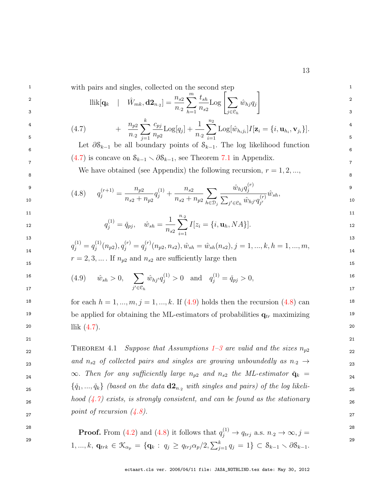<sup>1</sup> 1 with pairs and singles, collected on the second step <sup>1</sup>

<span id="page-14-1"></span>
$$
\text{llik}[\mathbf{q}_k \quad | \quad \hat{W}_{mk}, \mathbf{d} \mathbf{2}_{n,2}] = \frac{n_{s2}}{n_{.2}} \sum_{h=1}^m \frac{t_{sh}}{n_{s2}} \text{Log} \left[ \sum_{j \in \mathcal{C}_h} \hat{w}_{hj} q_j \right]
$$

$$
\begin{array}{lll}\n\mathbf{4} & & \\
\mathbf{5} & & \\
\mathbf{5} & & \\
\mathbf{6} & & \\
\mathbf{7} & & \\
\mathbf{8} & & \\
\mathbf{7} & & \\
\mathbf{8} & & \\
\mathbf{9} & & \\
\mathbf{10} & & \\
\mathbf{11} & & \\
\mathbf{13} & & \\
\mathbf{14} & & \\
\mathbf{15} & & \\
\mathbf{16} & & \\
\mathbf{18} & & \\
\mathbf{19} & & \\
\mathbf{18} & & \\
\mathbf{19} & & \\
\mathbf{10} & & \\
\mathbf{11} & & \\
\mathbf{12} & & \\
\mathbf{13} & & \\
\mathbf{14} & & \\
\mathbf{15} & & \\
\mathbf{16} & & \\
\mathbf{17} & & \\
\mathbf{18} & & \\
\mathbf{19} & & \\
\mathbf{19} & & \\
\mathbf{10} & & \\
\mathbf{11} & & \\
\mathbf{12} & & \\
\mathbf{13} & & \\
\mathbf{14} & & \\
\mathbf{15} & & \\
\mathbf{16} & & \\
\mathbf{17} & & \\
\mathbf{18} & & \\
\mathbf{19} & & \\
\mathbf{19} & & \\
\mathbf{18} & & \\
\mathbf{19} & & \\
\mathbf{19} & & \\
\mathbf{10} & & \\
\mathbf{11} & & \\
\mathbf{12} & & \\
\mathbf{13} & & \\
\mathbf{14} & & \\
\mathbf{15} & & \\
\mathbf{16} & & \\
\mathbf{17} & & \\
\mathbf{18} & & \\
\mathbf{19} & & \\
\mathbf{
$$

6 **6** Eet  $\partial S_{k-1}$  be all boundary points of  $S_{k-1}$ . The log likelihood function  $(4.7)$  is concave on  $S_{k-1} \setminus \partial S_{k-1}$ , see Theorem [7.1](#page-35-0) in Appendix.

We have obtained (see Appendix) the following recursion,  $r = 1, 2, ...,$ 

9  $\frac{(r+1)}{2}$   $\frac{n_{r2}}{2}$   $\frac{(1)}{2}$   $\frac{n_{c2}}{2}$   $\frac{w_{hj}q_i^{(1)}}{q_i^{(2)}}$  9 10  $n_{s2} + n_{p2}$   $n_{s2} + n_{p2}$   $n_{s1} - n_{s2}$   $n_{s1} - n_{s2}$   $n_{s1} - n_{s2}$  10  $(4.8)$   $q_j^{(r+1)} =$  $n_{p2}$  $n_{s2} + n_{p2}$  $q_j^{(1)}$  +  $n_{s2}$  $n_{s2} + n_{p2}$  $\sum$  $h \in \mathcal{D}_j$  $\hat{w}_{hj}q_{i}^{(r)}$ j  $\sum_{j'\in\mathfrak{S}_h} \hat{w}_{hj'} q_{j'}^{(r)}$  $j'$  $\hat{w}_{sh},$ 

$$
\begin{array}{c} 1 \\ 1 \end{array}
$$

11  $\overline{a}$  11 12  $q_j^{(1)} = \check{q}_{pj}, \quad \hat{w}_{sh} = \frac{1}{n} \sum I[z_i = \{i, \mathbf{u}_h, NA\}].$ 1  $n_{s2}$  $\sum_{n=2}^{\infty}$  $i=1$  $I[z_i = \{i, \mathbf{u}_h, NA\}].$ 

$$
q_j^{(1)} = q_j^{(1)}(n_{p2}), q_j^{(r)} = q_j^{(r)}(n_{p2}, n_{s2}), \hat{w}_{sh} = \hat{w}_{sh}(n_{s2}), j = 1, ..., k, h = 1, ..., m,
$$
\n<sup>13</sup>\n<sup>13</sup>\n<sup>14</sup>\n<sup>14</sup>\n<sup>15</sup>\n<sup>16</sup>\n<sup>17</sup>\n<sup>18</sup>\n<sup>19</sup>\n<sup>19</sup>\n<sup>11</sup>\n<sup>10</sup>\n<sup>11</sup>\n<sup>12</sup>\n<sup>13</sup>\n<sup>14</sup>\n<sup>14</sup>\n<sup>15</sup>\n<sup>16</sup>\n<sup>17</sup>\n<sup>18</sup>\n<sup>19</sup>\n<sup>19</sup>\n<sup>11</sup>\n<sup>11</sup>\n<sup>12</sup>\n<sup>13</sup>\n<sup>14</sup>\n<sup>14</sup>\n<sup>15</sup>\n<sup>16</sup>\n<sup>17</sup>\n<sup>18</sup>\n<sup>19</sup>\n<sup>11</sup>\n<sup>11</sup>\n<sup>12</sup>\n<sup>13</sup>\n<sup>14</sup>\n<sup>15</sup>\n<sup>16</sup>\n<sup>17</sup>\n<sup>18</sup>\n<sup>19</sup>\n<sup>11</sup>\n<sup>11</sup>\n<sup>12</sup>\n<sup>13</sup>\n<sup>14</sup>\n<sup>15</sup>\n<sup>16</sup>\n<sup>17</sup>\n<sup>18</sup>\n<sup>19</sup>\n<sup>11</sup>\n<sup>11</sup>\n<sup>12</sup>\n<sup>13</sup>\n<sup>14</sup>\n<sup>15</sup>\n<sup>16</sup>\n<sup>17</sup>\n<sup>18</sup>\n<sup>19</sup>\n<sup>11</sup>\n<sup>11</sup>\n<sup>12</sup>\n<sup>13</sup>\n<sup>14</sup>\n<sup>15</sup>\n<sup>16</sup>\n<sup>17</sup>\n<sup>18</sup>\n<sup>19</sup>\n<sup>11</sup>\n

$$
r = 2, 3, \dots
$$
 If  $n_{p2}$  and  $n_{s2}$  are sufficiently large then

<span id="page-14-3"></span><span id="page-14-2"></span>

$$
\begin{array}{lll}\n\text{16} & \text{(4.9)} \quad \hat{w}_{sh} > 0, \\
\text{17} & \text{18} \quad \hat{w}_{sh} > 0, \\
\text{19} & \text{10} & \text{10} \\
\text{10} & \text{11} & \text{12} \\
\text{13} & \text{13} & \text{14} \\
\text{14} & \text{15} & \text{15} \\
\text{16} & \text{17} & \text{18} \\
\text{18} & \text{19} & \text{10} \\
\text{10} & \text{10} & \text{11} \\
\text{11} & \text{12} & \text{12} & \text{13} \\
\text{13} & \text{14} & \text{15} & \text{16} \\
\text{16} & \text{17} & \text{18} & \text{19} \\
\text{19} & \text{19} & \text{10} & \text{10} \\
\text{10} & \text{11} & \text{12} & \text{16} \\
\text{11} & \text{13} & \text{16} & \text{17} \\
\text{14} & \text{16} & \text{17} & \text{18} \\
\text{18} & \text{19} & \text{19} & \text{10} & \text{10} \\
\text{19} & \text{10} & \text{11} & \text{12} & \text{13} \\
\text{10} & \text{11} & \text{12} & \text{13} & \text{14} \\
\text{13} & \text{14} & \text{15} & \text{16} & \text{15} \\
\text{16} & \text{16} & \text{17} & \text{16} & \text{16} \\
\text{17} & \text{18} & \text{19} & \text{10} & \text{16} \\
\text{19} & \text{10} &
$$

<span id="page-14-0"></span>21 21

18 for each  $h = 1, ..., m, j = 1, ..., k$ . If  $(4.9)$  holds then the recursion  $(4.8)$  can <sup>19</sup> 19 be applied for obtaining the ML-estimators of probabilities  $\mathbf{q}_{tr}$  maximizing 19 20 a and  $\text{llik}(4.7)$ . llik [\(4.7\)](#page-14-1).

THEOREM 4.[1](#page-7-1) Suppose that Assumptions  $1-3$  are valid and the sizes  $n_{p2}$   $_{22}$ 23 and  $n_{s2}$  of collected pairs and singles are growing unboundedly as  $n_{\cdot2} \rightarrow$  23  $\infty$ . Then for any sufficiently large  $n_{p2}$  and  $n_{s2}$  the ML-estimator  $\check{\mathbf{q}}_k =$  $\{\check{q}_1,...,\check{q}_k\}$  (based on the data  $\mathbf{d2}_{n,2}$  with singles and pairs) of the log likeli- $126$  hood  $(4.7)$  exists, is strongly consistent, and can be found as the stationary  $point of recursion (4.8).$  $point of recursion (4.8).$  $point of recursion (4.8).$ 

**Proof.** From [\(4.2\)](#page-12-1) and [\(4.8\)](#page-14-3) it follows that  $q_j^{(1)} \to q_{trj}$  a.s.  $n_2 \to \infty$ ,  $j =$ <sup>28</sup>

 $\mathbf{1},...,k,\ \mathbf{q}_{trk}\in\mathcal{K}_{\alpha_p}=\{\mathbf{q}_k:\ q_j\geq q_{trj}\alpha_p/2, \sum_{j=1}^k q_j=1\}\subset\mathcal{S}_{k-1}\smallsetminus\partial\mathcal{S}_{k-1}.$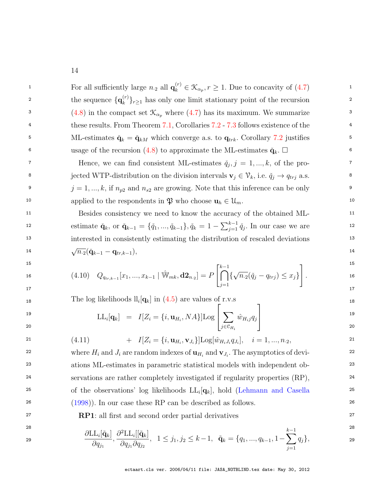<span id="page-15-0"></span><sup>1</sup> 1 For all sufficiently large  $n_2$  all  $\mathbf{q}_k^{(r)} \in \mathcal{K}_{\alpha_p}, r \ge 1$ . Due to concavity of  $(4.7)$ <sup>2</sup> the sequence  $\{q_k^{(r)}\}_{r>1}$  has only one limit stationary point of the recursion <sup>2</sup> 3  $(4.8)$  in the compact set  $\mathcal{K}_{\alpha_p}$  where  $(4.7)$  has its maximum. We summarize <sup>4</sup> these results. From Theorem [7.1,](#page-35-0) Corollaries [7.2](#page-38-0) - [7.3](#page-39-0) follows existence of the <sup>4</sup> <sup>5</sup> 5 ML-estimates  $\check{\mathbf{q}}_k = \check{\mathbf{q}}_{kM}$  which converge a.s. to  $\mathbf{q}_{trk}$ . Corollary [7.2](#page-38-0) justifies <sup>5</sup> 6 b usage of the recursion [\(4.8\)](#page-14-3) to approximate the ML-estimates  $\check{\mathbf{q}}_k$ .  $\square$  $\mathcal{F}$  Hence, we can find consistent ML-estimates  $\check{q}_j, j = 1, ..., k$ , of the pro-<sup>8</sup> iected WTP-distribution on the division intervals  $\mathbf{v}_j \in \mathcal{V}_k$ , i.e.  $\check{q}_j \to q_{trj}$  a.s. <sup>9</sup>  $j = 1, ..., k$ , if  $n_{p2}$  and  $n_{s2}$  are growing. Note that this inference can be only 10 applied to the respondents in  $\mathfrak{P}$  who choose  $\mathbf{u}_h \in \mathcal{U}_m$ . 11 11 Besides consistency we need to know the accuracy of the obtained ML-12 estimate  $\check{\mathbf{q}}_k$ , or  $\check{\mathbf{q}}_{k-1} = {\{\check{q}_1, ..., \check{q}_{k-1}\}, \check{q}_k = 1 - \sum_{j=1}^{k-1} \check{q}_j$ . In our case we are 13 13 interested in consistently estimating the distribution of rescaled deviations 14  $\sqrt{n_{\cdot2}}(\check{\mathbf{q}}_{k-1}-\mathbf{q}_{tr,k-1}),$ 15 and  $\Gamma$  1. The set of  $\Gamma$  1. The set of  $\Gamma$  1. The set of  $\Gamma$  1. The set of  $\Gamma$  1. The set of  $\Gamma$  1. The set of  $\Gamma$  1. The set of  $\Gamma$  1. The set of  $\Gamma$  1. The set of  $\Gamma$  1. The set of  $\Gamma$  1. The set of  $\Gamma$  16  $(4.10)$   $Q_{q_{tr,k-1}}[x_1,...,x_{k-1} | \hat{W}_{mk}, d\mathbf{2}_{n,2}] = P \bigcap \{ \sqrt{n_{\cdot2}}(\check{q}_j - q_{trj}) \leq x_j \} \bigg]$ .  $\frac{17}{2}$  17 18 18 The log likelihoods ll<sup>i</sup> [qk] in [\(4.5\)](#page-13-1) are values of r.v.s 19  $I[\alpha] = I[Z = (i \cdot n \cdot M \text{ All } \alpha \cdot \sum \hat{x_i} \cdot \alpha]$  19 20 and  $j \in \mathcal{C}_{H_i}$  and  $j \in \mathcal{C}_{H_i}$  and  $j \in \mathcal{C}_{H_i}$  and  $j \in \mathcal{C}_{H_i}$  and  $j \in \mathcal{C}_{H_i}$  and  $j \in \mathcal{C}_{H_i}$  and  $j \in \mathcal{C}_{H_i}$  and  $j \in \mathcal{C}_{H_i}$  and  $j \in \mathcal{C}_{H_i}$  and  $j \in \mathcal{C}_{H_i}$  and  $j \in \mathcal{C}_{H_i}$  and  $j \in \$ 21  $(4.11)$   $+ I[Z_i = \{i, \mathbf{u}_{H_i}, \mathbf{v}_{J_i}\}]$ Log[ $\hat{w}_{H_i J_i} q_{J_i}$ ],  $i = 1, ..., n_{.2}$ , 21 <sup>22</sup> where  $H_i$  and  $J_i$  are random indexes of  $\mathbf{u}_{H_i}$  and  $\mathbf{v}_{J_i}$ . The asymptotics of devi-23 23 ations ML-estimates in parametric statistical models with independent ob-<sup>24</sup> servations are rather completely investigated if regularity properties (RP), <sup>24</sup> <sup>25</sup> of the observations' log likelihoods  $LL_i[q_k]$ , hold [\(Lehmann and Casella](#page-45-12)<sup>25</sup> 26 26 [\(1998\)](#page-45-12)). In our case these RP can be described as follows. 27 27 RP1: all first and second order partial derivatives 28 and  $\frac{1}{2}$  28 29  $\frac{\partial \text{LL}_i[\tilde{\mathbf{q}}_k]}{2}$ ,  $\frac{\partial^2 \text{LL}_i[[\tilde{\mathbf{q}}_k]}{2}$ ,  $1 \leq j_1, j_2 \leq k-1$ ,  $\tilde{\mathbf{q}}_k = \{q_1, ..., q_{k-1}, 1 - \sum_{i=1}^{k-1} q_i\},$  ${k \choose k}_{k \geq 1}$  has only one limit stationary point of the recursion  $\bigcap^{k-1}$  $j=1$ { √  $\overline{n_{\cdot2}}(\check{q}_j - q_{trj}) \leq x_j\}$ 1 .  $\text{LL}_i[\mathbf{q}_k] = I[Z_i = \{i, \mathbf{u}_{H_i}, NA\}]\text{Log}$  $\sqrt{ }$  $\vert$  $\sum$  $j \in \mathfrak{C}_{H_i}$  $\hat{w}_{H_ij}q_j$ 1  $\frac{1}{2}$  $\partial q_{j_1}$ ,  $\partial^2{\rm LL}_i[[\tilde{\bf q}_k]$  $\partial q_{j_1} \partial q_{j_2}$ , 1 ≤ j<sub>1</sub>, j<sub>2</sub> ≤ k − 1,  $\tilde{\mathbf{q}}_k$  = { $q_1, ..., q_{k-1}, 1 - \sum$ }  $k-1$  $q_j\},\$ 

 $j=1$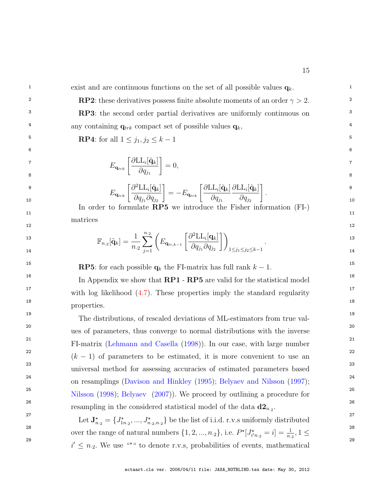<sup>1</sup> exist and are continuous functions on the set of all possible values  $\mathbf{q}_k$ .

**RP2**: these derivatives possess finite absolute moments of an order  $\gamma > 2$ . <sup>3</sup> **RP3:** the second order partial derivatives are uniformly continuous on <sup>3</sup> <sup>4</sup> any containing  $\mathbf{q}_{trk}$  compact set of possible values  $\mathbf{q}_k$ , <sup>4</sup>

 $6$ 

**5 RP4**: for all  $1 \leq j_1, j_2 \leq k-1$ 

$$
E_{\mathbf{q}_{trk}}\left[\frac{\partial \text{LL}_{i}[\tilde{\mathbf{q}}_{k}]}{\partial q_{j_1}}\right] = 0, \tag{7}
$$

$$
E_{\mathbf{q}_{trk}}\left[\frac{\partial^2 \text{LL}_i[\tilde{\mathbf{q}}_k]}{\partial q_{j_1} \partial q_{j_2}}\right] = -E_{\mathbf{q}_{trk}}\left[\frac{\partial \text{LL}_i[\tilde{\mathbf{q}}_k]}{\partial q_{j_1}} \frac{\partial \text{LL}_i[\tilde{\mathbf{q}}_k]}{\partial q_{j_2}}\right].
$$
<sup>9</sup>

 $11$  11 In order to formulate RP5 we introduce the Fisher information (FI-) matrices

 $12$  and  $12$  and  $12$  and  $12$  and  $12$  and  $12$  and  $12$  and  $12$  and  $12$  and  $12$ 

$$
\mathbb{F}_{n.2}[\tilde{\mathbf{q}}_k] = \frac{1}{n.2} \sum_{j=1}^{n.2} \left( E_{\mathbf{q}_{tr,k-1}} \left[ \frac{\partial^2 \text{LL}_i[\mathbf{q}_k]}{\partial q_{j_1} \partial q_{j_2}} \right] \right)_{1 \le j_1 \le j_2 \le k-1}.
$$

**RP5:** for each possible  $\mathbf{q}_k$  the FI-matrix has full rank  $k-1$ .

<sup>16</sup> In Appendix we show that  $\bf RP1 - RP5$  are valid for the statistical model <sup>17</sup> 17 with log likelihood [\(4.7\)](#page-14-1). These properties imply the standard regularity 18  $\hspace{1.5cm}$  18 properties.

19 19 The distributions, of rescaled deviations of ML-estimators from true val-20 20 ues of parameters, thus converge to normal distributions with the inverse 21 21 FI-matrix [\(Lehmann and Casella](#page-45-12) [\(1998\)](#page-45-12)). In our case, with large number <sup>22</sup>  $(k-1)$  of parameters to be estimated, it is more convenient to use an <sup>22</sup> 23 23 universal method for assessing accuracies of estimated parameters based <sup>24</sup> on resamplings [\(Davison and Hinkley](#page-44-7) [\(1995\)](#page-44-7); [Belyaev and Nilsson](#page-44-8) [\(1997\)](#page-44-8); <sup>25</sup> 25 [Nilsson](#page-45-13) [\(1998\)](#page-45-13); [Belyaev](#page-44-9) [\(2007\)](#page-44-9)). We proceed by outlining a procedure for <sup>26</sup> 26 resampling in the considered statistical model of the data  $d2_{n.2}$ .

<sup>27</sup><br>Let  $\mathbf{J}^{\star}_{n_1} = \{J^{\star}_{1n_2},...,J^{\star}_{n_2,n_2}\}$  be the list of i.i.d. r.v.s uniformly distributed <sup>28</sup> over the range of natural numbers  $\{1, 2, ..., n_2\}$ , i.e.  $P^{\star}[J^{\star}_{i'n_2} = i] = \frac{1}{n_2}$ ,  $1 \leq$ <sup>29</sup>  $i' \leq n_2$ . We use "\*" to denote r.v.s, probabilities of events, mathematical <sup>29</sup>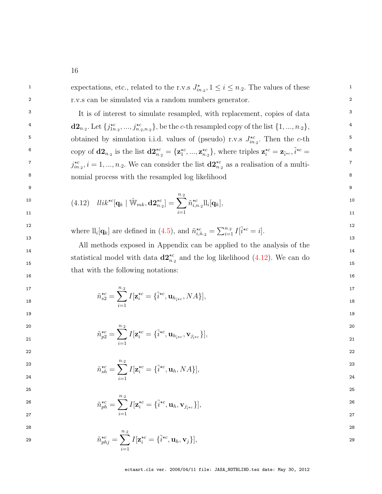<span id="page-17-0"></span><sup>1</sup> expectations, etc., related to the r.v.s  $J_{in_2}^{\star}$ ,  $1 \le i \le n_2$ . The values of these 2 2 r.v.s can be simulated via a random numbers generator. <sup>3</sup> It is of interest to simulate resampled, with replacement, copies of data <sup>3</sup> 4  $d_2, \ldots, d_{n_2}$ . Let  ${j_{1n_2}^{\star c}, ..., j_{n_2,n_2}^{\star c}}$ , be the c-th resampled copy of the list  $\{1, ..., n_2\}$ , <sup>5</sup> botained by simulation i.i.d. values of (pseudo) r.v.s  $J_{in,2}^{*c}$ . Then the *c*-th<sup>5</sup> <sup>6</sup> copy of  $\mathbf{d2}_{n_2}$  is the list  $\mathbf{d2}_{n_2}^{*c} = {\mathbf{z}_1^{*c}, ..., \mathbf{z}_{n_2}^{*c}}$ , where triples  $\mathbf{z}_i^{*c} = \mathbf{z}_{\tilde{i}^{*c}}, \tilde{i}^{*c} =$ <sup>6</sup> <sup>7</sup>  $j_{in,2}^{\star c}$ ,  $i = 1, ..., n_{.2}$ . We can consider the list  $\mathbf{d2}_{n_{.2}}^{\star c}$  as a realisation of a multi-8 8 nomial process with the resampled log likelihood 9 9 10  $(4.12)$   $llik^{\star c}[\mathbf{q}_k | \hat{\mathbb{W}}_{mk}, \mathbf{d} \mathbf{2}^{\star c}_{n,2}] = \sum^{n.2} \tilde{n}^{\star c}_{i,n.2} \mathbb{I}_i[\mathbf{q}_k],$ 11  $i=1$  11 <sup>12</sup> where  $\mathcal{L}[q_k]$  are defined in [\(4.5\)](#page-13-1), and  $\tilde{n}^{\star c}_{i,\tilde{n}_2} = \sum_{i=1}^{n_2} I[\tilde{i}^{\star c} = i].$ <sup>12</sup>  $13$   $13$  $14$  14 statistical model with data  $\mathbf{d2}^{\star c}_{n,2}$  and the log likelihood [\(4.12\)](#page-17-0). We can do  $16$ 17  $n_{.2}$  17  $\tilde{n}_{s2}^{\star c} = \sum_{i=1}^{n_{s2}} I[\mathbf{z}_i^{\star c} = {\tilde{i}}^{\star c}, \mathbf{u}_{h_{\tilde{i}^{\star c}}}, NA],$ <sup>17</sup>  $19$ 20 and  $n_{\cdot 2}$  20 and  $n_{\cdot 2}$  20 and  $n_{\cdot 2}$  20 and  $n_{\cdot 2}$  20 and  $n_{\cdot 2}$  20  $\tilde{n}^{\star c}_{p2} = \sum^{n.2} I[\mathbf{z}^{\star c}_i = \{ \tilde{i}^{\star c}, \mathbf{u}_{h_{\tilde{i} \star c}}, \mathbf{v}_{j_{\tilde{i} \star c}} \}],$ 22 денови производит в село в 1922 године в 2022 године в 2022 године в 2022 године в 2022 године в 2022 годин 23  $\frac{1}{2}$   $\frac{1}{2}$   $\frac{1}{2}$   $\frac{1}{2}$   $\frac{1}{2}$   $\frac{1}{2}$   $\frac{1}{2}$   $\frac{1}{2}$   $\frac{1}{2}$   $\frac{1}{2}$   $\frac{1}{2}$   $\frac{1}{2}$   $\frac{1}{2}$   $\frac{1}{2}$   $\frac{1}{2}$   $\frac{1}{2}$   $\frac{1}{2}$   $\frac{1}{2}$   $\frac{1}{2}$   $\frac{1}{2}$   $\frac{1}{2}$   $\frac{1}{2}$ 24 24 24 25  $\frac{i}{1}$  24  $25$  $\tilde{n}^{\star c}_{ph} = \sum^{n.2} I[\mathbf{z}^{\star c}_i = \{\tilde{i}^{\star c}, \mathbf{u}_h, \mathbf{v}_{j_{\tilde{i}^{\star}c}}\}],$ 27 and  $i=1$  27 28 28  $\tilde{n}^{\star c}_{phj} = \sum^{n.2} I[\mathbf{z}^{\star c}_i = \{\tilde{i}^{\star c}, \mathbf{u}_h, \mathbf{v}_j\}],$  $i=1$  $\tilde{n}_{i,n.2}^{\star c}$ ll<sub>i</sub> $[\mathbf{q}_k]$ , All methods exposed in Appendix can be applied to the analysis of the that with the following notations:  $i=1$  $I[\mathbf{z}_i^{\star c} = {\tilde{i}}^{\star c}, \mathbf{u}_{h_{\tilde{i}^{\star c}}}, NA],$  $i=1$  $I[\mathbf{z}^{*c}_i = \{ \tilde{i}^{*c}, \mathbf{u}_{h_{\tilde{i}*c}}, \mathbf{v}_{j_{\tilde{i}*c}} \} ],$  $\tilde{n}^{\star c}_{sh} = \sum^{n.2}$  $i=1$  $I[\mathbf{z}_i^{\star c} = {\tilde{i}^{\star c}, \mathbf{u}_h, NA}],$  $i=1$  $I[\mathbf{z}^{*c}_i = \{\tilde{i}^{*c}, \mathbf{u}_h, \mathbf{v}_{j_{\tilde{i} * c}}\}],$  $i=1$  $I[\mathbf{z}_i^{\star c} = {\tilde{i}^{\star c}, \mathbf{u}_h, \mathbf{v}_j}],$ ectaart.cls ver. 2006/04/11 file: JASA\_NOTBLIND.tex date: May 30, 2012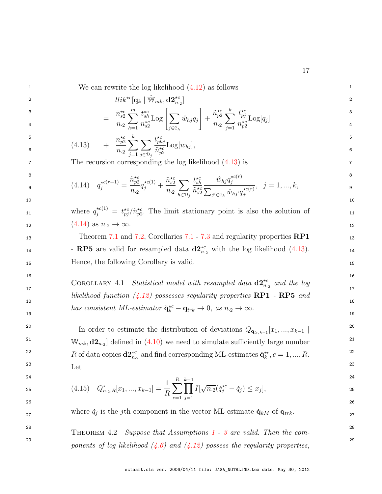|  | We can rewrite the log likelihood $(4.12)$ as follows |  |  |
|--|-------------------------------------------------------|--|--|
|--|-------------------------------------------------------|--|--|

<span id="page-18-2"></span>

$$
llik^{\star c}[\mathbf{q}_k \mid \hat{\mathbb{W}}_{mk}, \mathbf{d2}^{\star c}_{n,2}]
$$
\n
$$
\tilde{n}^{\star c} \stackrel{m}{=} t^{\star c} \qquad \qquad \boxed{\qquad \qquad } \qquad \tilde{n}^{\star c} \stackrel{k}{=} t^{\star c} \qquad \qquad 3
$$

<span id="page-18-1"></span>
$$
= \frac{\tilde{n}_{s2}^{\star c}}{n_{\cdot 2}} \sum_{h=1}^{m} \frac{t_{sh}^{\star c}}{n_{s2}^{\star c}} \text{Log}\left[\sum_{j \in \mathcal{C}_h} \hat{w}_{hj} q_j\right] + \frac{\tilde{n}_{p2}^{\star c}}{n_{\cdot 2}} \sum_{j=1}^{k} \frac{t_{pj}^{\star c}}{n_{p2}^{\star c}} \text{Log}[q_j] \qquad \qquad \frac{3}{4}
$$

$$
\begin{array}{rcl}\n\mathbf{5} \\
\mathbf{6} \\
\mathbf{7} & (4.13) \\
\mathbf{8} & \mathbf{1} \\
\mathbf{1} & (4.13) \\
\mathbf{1} & (4.13) \\
\mathbf{1} & (4.13) \\
\mathbf{1} & (4.13) \\
\mathbf{1} & (4.13) \\
\mathbf{1} & (4.13) \\
\mathbf{1} & (4.13) \\
\mathbf{1} & (4.13) \\
\mathbf{1} & (4.13) \\
\mathbf{1} & (4.13) \\
\mathbf{1} & (4.13) \\
\mathbf{1} & (4.13) \\
\mathbf{1} & (4.13) \\
\mathbf{1} & (4.13) \\
\mathbf{1} & (4.13) \\
\mathbf{1} & (4.13) \\
\mathbf{1} & (4.13) \\
\mathbf{1} & (4.13) \\
\mathbf{1} & (4.13) \\
\mathbf{1} & (4.13) \\
\mathbf{1} & (4.13) \\
\mathbf{1} & (4.13) \\
\mathbf{1} & (4.13) \\
\mathbf{1} & (4.13) \\
\mathbf{1} & (4.13) \\
\mathbf{1} & (4.13) \\
\mathbf{1} & (4.13) \\
\mathbf{1} & (4.13) \\
\mathbf{1} & (4.13) \\
\mathbf{1} & (4.13) \\
\mathbf{1} & (4.13) \\
\mathbf{1} & (4.13) \\
\mathbf{1} & (4.13) \\
\mathbf{1} & (4.13) \\
\mathbf{1} & (4.13) \\
\mathbf{1} & (4.13) \\
\mathbf{1} & (4.13) \\
\mathbf{1} & (4.13) \\
\mathbf{1} & (4.13) \\
\mathbf{1} & (4.13) \\
\mathbf{1} & (4.13) \\
\mathbf{1} & (4.13) \\
\mathbf{1} & (4.13) \\
\mathbf{1} & (4.13) \\
\mathbf{1} & (4.13) \\
\mathbf{1} & (4.13) \\
\mathbf{1} & (4.13) \\
\mathbf{1} & (4.13) \\
\mathbf{1} & (4.13) \\
\mathbf{1} & (4.13) \\
\mathbf{1} & (4
$$

7 The recursion corresponding the log likelihood  $(4.13)$  is 7

$$
\begin{array}{ll}\n\mathbf{a} & \\
\mathbf{b} & \\
\mathbf{c} & \\
\mathbf{d} & \\
\mathbf{e} & \\
\mathbf{e} & \\
\mathbf{e} & \\
\mathbf{e} & \\
\mathbf{e} & \\
\mathbf{e} & \\
\mathbf{e} & \\
\mathbf{e} & \\
\mathbf{e} & \\
\mathbf{e} & \\
\mathbf{e} & \\
\mathbf{e} & \\
\mathbf{e} & \\
\mathbf{e} & \\
\mathbf{e} & \\
\mathbf{e} & \\
\mathbf{e} & \\
\mathbf{e} & \\
\mathbf{e} & \\
\mathbf{e} & \\
\mathbf{e} & \\
\mathbf{e} & \\
\mathbf{e} & \\
\mathbf{e} & \\
\mathbf{e} & \\
\mathbf{e} & \\
\mathbf{e} & \\
\mathbf{e} & \\
\mathbf{e} & \\
\mathbf{e} & \\
\mathbf{e} & \\
\mathbf{e} & \\
\mathbf{e} & \\
\mathbf{e} & \\
\mathbf{e} & \\
\mathbf{e} & \\
\mathbf{e} & \\
\mathbf{e} & \\
\mathbf{e} & \\
\mathbf{e} & \\
\mathbf{e} & \\
\mathbf{e} & \\
\mathbf{e} & \\
\mathbf{e} & \\
\mathbf{e} & \\
\mathbf{e} & \\
\mathbf{e} & \\
\mathbf{e} & \\
\mathbf{e} & \\
\mathbf{e} & \\
\mathbf{e} & \\
\mathbf{e} & \\
\mathbf{e} & \\
\mathbf{e} & \\
\mathbf{e} & \\
\mathbf{e} & \\
\mathbf{e} & \\
\mathbf{e} & \\
\mathbf{e} & \\
\mathbf{e} & \\
\mathbf{e} & \\
\mathbf{e} & \\
\mathbf{e} & \\
\mathbf{e} & \\
\mathbf{e} & \\
\mathbf{e} & \\
\mathbf{e} & \\
\mathbf{e} & \\
\mathbf{e} & \\
\mathbf{e} & \\
\mathbf{e} & \\
\math
$$

11 where  $q_j^{\star c(1)} = t_{pj}^{\star c}/\tilde{n}_{p2}^{\star c}$ . The limit stationary point is also the solution of 11 12  $(4.14)$  as  $n_2 \to \infty$ .

13 13 Theorem [7.1](#page-35-0) and [7.2,](#page-42-0) Corollaries [7.1](#page-36-0) - [7.3](#page-39-0) and regularity properties RP1 14 **RP5** are valid for resampled data  $\mathbf{d2}^{*c}_{n,2}$  with the log likelihood [\(4.13\)](#page-18-1). 15 15 Hence, the following Corollary is valid.

COROLLARY 4.1 Statistical model with resampled data  $\mathbf{d2}^{\star c}_{n,2}$  and the log 17  $likelihood\ function\ (4.12)\ possesses\ regularity\ properties\ \bf RP1\ -\ RP5\ \ and\ 18}$  $likelihood\ function\ (4.12)\ possesses\ regularity\ properties\ \bf RP1\ -\ RP5\ \ and\ 18}$  $likelihood\ function\ (4.12)\ possesses\ regularity\ properties\ \bf RP1\ -\ RP5\ \ and\ 18}$ has consistent ML-estimator  $\check{\mathbf{q}}_k^{\star c} - \mathbf{q}_{trk} \to 0$ , as  $n_2 \to \infty$ .

<span id="page-18-3"></span> $16$ 

<sup>20</sup> 10 In order to estimate the distribution of deviations  $Q_{\mathbf{q}_{tr,k-1}}[x_1, ..., x_{k-1}]$ <sup>20</sup> <sup>21</sup> W<sub>mk</sub>,  $d2_{n,2}$  defined in [\(4.10\)](#page-15-0) we need to simulate sufficiently large number<sup>21</sup> <sup>22</sup> R of data copies  $\mathbf{d2}^{\star c}_{n,2}$  and find corresponding ML-estimates  $\check{\mathbf{q}}^{\star c}_k$ ,  $c = 1, ..., R$ . 23 and  $I_{\text{at}}$  23 Let

$$
24\n\n25\n\n(4.15) \t $Q_{n,2,R}^{\star}[x_1, ..., x_{k-1}] = \frac{1}{R} \sum_{c=1}^{R} \prod_{j=1}^{k-1} I[\sqrt{n \cdot 2}(\check{q}_j^{\star c} - \check{q}_j) \le x_j],$ \n  
\n26\n  
\n27\n  
\n28\n  
\n29\n  
\n20
$$

where  $\check{q}_j$  is the j<sup>th</sup> component in the vector ML-estimate  $\check{\mathbf{q}}_{kM}$  of  $\mathbf{q}_{trk}$ .

<span id="page-18-0"></span><sup>28</sup> THEOREM 4.2 *Suppose that Assumptions [1](#page-7-1) - [3](#page-7-3) are valid. Then the com*- $\emph{29}$  ponents of log likelihood [\(4.6\)](#page-13-2) and [\(4.12\)](#page-17-0) possess the regularity properties,  $\emph{29}$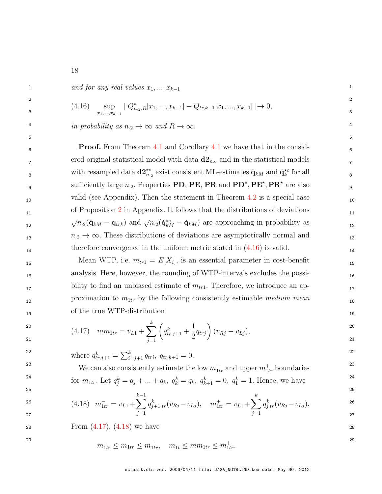<span id="page-19-0"></span> $1 \quad \text{and for any real values } x_1, \ldots, x_{k-1}$ 

$$
\begin{array}{ll}\n\text{2} & \text{(4.16)} \\
\text{3} & \text{sup} \\
\text{min}_{x_1, \dots, x_{k-1}} \mid Q^{\star}_{n, 2, R}[x_1, \dots, x_{k-1}] - Q_{tr, k-1}[x_1, \dots, x_{k-1}] \mid \to 0,\n\end{array}
$$

4 in probability as  $n_2 \to \infty$  and  $R \to \infty$ .

**Froof.** From Theorem [4.1](#page-18-3) and Corollary 4.1 we have that in the consid- $\sigma$ <sub>7</sub> ered original statistical model with data  $d2_{n_2}$  and in the statistical models  $\sigma$ <sub>7</sub> s with resampled data  $\mathbf{d2}_{n,2}^{\star c}$  exist consistent ML-estimates  $\check{\mathbf{q}}_{kM}$  and  $\check{\mathbf{q}}_k^{\star c}$  for all s 9 sufficiently large  $n_{.2}$ . Properties **PD**, **PE**, **PR** and  $\text{PD}^{\star}$ ,  $\text{PE}^{\star}$ ,  $\text{PR}^{\star}$  are also  $\frac{1}{9}$ <sub>10</sub> valid (see Appendix). Then the statement in Theorem [4.2](#page-18-0) is a special case <sub>10</sub> <sup>11</sup> 11 of Proposition [2](#page-43-0) in Appendix. It follows that the distributions of deviations  $V^{t}$ .  $V^{t}$ .  $Q$ **(k***M*  $Q$ *trk)* and  $V^{t}$ .  $2$ ( $Q$ <sub>*kM*</sub>  $Q$ *kM*) are approaching in probability as  $12$  $n_2 \to \infty$ . These distributions of deviations are asymptotically normal and  $n_3$ therefore convergence in the uniform metric stated in  $(4.16)$  is valid.  $\sqrt{n_2}(\check{\mathbf{q}}_{kM} - \mathbf{q}_{trk})$  and  $\sqrt{n_2}(\check{\mathbf{q}}_{kM}^{*c} - \check{\mathbf{q}}_{kM})$  are approaching in probability as

 $5$ 

15 Mean WTP, i.e.  $m_{tr1} = E[X_i]$ , is an essential parameter in cost-benefit 15 16 16 analysis. Here, however, the rounding of WTP-intervals excludes the possibility to find an unbiased estimate of  $m_{tr1}$ . Therefore, we introduce an approximation to  $m_{1tr}$  by the following consistently estimable medium mean  $_{18}$ 19 19 of the true WTP-distribution

<span id="page-19-1"></span>
$$
\begin{array}{lll}\n\text{20} & \text{m} \\
\text{21} & \text{m} \\
\text{22} & \text{m} \\
\text{23} & \text{m} \\
\text{24} & \text{m} \\
\text{25} & \text{m} \\
\text{26} & \text{m} \\
\text{27} & \text{m} \\
\text{28} & \text{m} \\
\text{29} & \text{m} \\
\text{21} & \text{m} \\
\text{22} & \text{m} \\
\text{23} & \text{m} \\
\text{24} & \text{m} \\
\text{25} & \text{m} \\
\text{26} & \text{m} \\
\text{27} & \text{m} \\
\text{28} & \text{m} \\
\text{29} & \text{m} \\
\text{20} & \text{m} \\
\text{21} & \text{m} \\
\text{22} & \text{m} \\
\text{23} & \text{m} \\
\text{24} & \text{m} \\
\text{25} & \text{m} \\
\text{26} & \text{m} \\
\text{27} & \text{m} \\
\text{28} & \text{m} \\
\text{29} & \text{m} \\
\text{20} & \text{m} \\
\text{21} & \text{m} \\
\text{22} & \text{m} \\
\text{23} & \text{m} \\
\text{24} & \text{m} \\
\text{25} & \text{m} \\
\text{26} & \text{m} \\
\text{27} & \text{m} \\
\text{28} & \text{m} \\
\text{29} & \text{m} \\
\text{20} & \text{m} \\
\text{21} & \text{m} \\
\text{22} & \text{m} \\
\text{23} & \text{m} \\
\text{24} & \text{m} \\
\text{25} & \text{m} \\
\text{26} & \text{m} \\
\text{27} & \text{m} \\
\text{28} & \text{m} \\
\text{29} & \text{m} \\
\text{20} & \text{m} \\
\
$$

<sup>22</sup> where  $q_{tr,j+1}^k = \sum_{i=j+1}^k q_{tri}, q_{tr,k+1} = 0.$ <sup>22</sup>

<sup>23</sup> 23 23 We can also consistently estimate the low  $m_{1tr}^-$  and upper  $m_{1tr}^+$  boundaries <sup>24</sup> for  $m_{1tr}$ . Let  $q_j^k = q_j + ... + q_k$ ,  $q_k^k = q_k$ ,  $q_{k+1}^k = 0$ ,  $q_1^k = 1$ . Hence, we have

 $25$ 

$$
\begin{array}{lll}\n\text{26} & (4.18) & m_{1tr}^- = v_{L1} + \sum_{j=1}^{k-1} q_{j+1,tr}^k (v_{Rj} - v_{Lj}), & m_{1tr}^+ = v_{L1} + \sum_{j=1}^k q_{j,tr}^k (v_{Rj} - v_{Lj}).\n\end{array}\n\tag{26}
$$

 $28 \t\t From (4.17), (4.18) we have$  $28 \t\t From (4.17), (4.18) we have$  $28 \t\t From (4.17), (4.18) we have$  $28 \t\t From (4.17), (4.18) we have$  $28 \t\t From (4.17), (4.18) we have$ 

$$
m_{1tr}^- \le m_{1tr} \le m_{1tr}^+, \quad m_{1t}^- \le mm_{1tr} \le m_{1tr}^+.
$$

<span id="page-19-2"></span>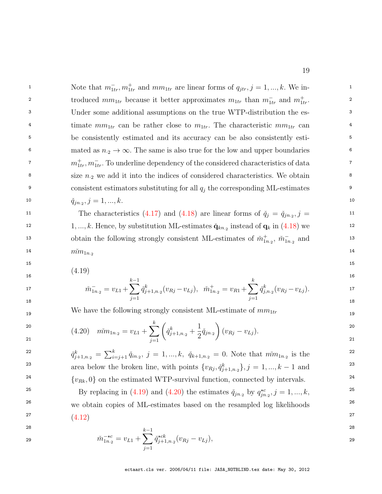1 1 Note that  $m_{1tr}^-$ ,  $m_{1tr}^+$  and  $mm_{1tr}$  are linear forms of  $q_{jtr}, j = 1, ..., k$ . We introduced  $mm_{1tr}$  because it better approximates  $m_{1tr}$  than  $m_{1tr}^-$  and  $m_{1tr}^+$ . 3 3 Under some additional assumptions on the true WTP-distribution the es-<sup>4</sup> timate  $mm_{1tr}$  can be rather close to  $m_{1tr}$ . The characteristic  $mm_{1tr}$  can 5 5 be consistently estimated and its accuracy can be also consistently esti-6 mated as  $n_2 \to \infty$ . The same is also true for the low and upper boundaries 6 <sup>7</sup>  $m_{1tr}^+, m_{1tr}^-$ . To underline dependency of the considered characteristics of data <sup>8</sup> size  $n_2$  we add it into the indices of considered characteristics. We obtain <sup>9</sup> consistent estimators substituting for all  $q_j$  the corresponding ML-estimates <sup>9</sup> 10  $\check{q}_{jn\cdot2}, j = 1, ..., k.$ 

11 The characteristics [\(4.17\)](#page-19-1) and [\(4.18\)](#page-19-2) are linear forms of  $\check{q}_j = \check{q}_{jn,2}, j = 11$ <sup>12</sup> 1, ..., k. Hence, by substitution ML-estimates  $\check{\mathbf{q}}_{kn,2}$  instead of  $\mathbf{q}_k$  in [\(4.18\)](#page-19-2) we 13 obtain the following strongly consistent ML-estimates of  $\tilde{m}^+_{1n,2}$ ,  $\tilde{m}^-_{1n,2}$  and 13  $m_{11}^{2}$  14  $m_{1n_{2}}$ 

<span id="page-20-0"></span> $15$  15

16 and  $\sim$  16 and  $\sim$  16 and  $\sim$  16 and  $\sim$  16 and  $\sim$  16 and  $\sim$  16 and  $\sim$  16 (4.19)

$$
\tilde{m}_{1n_{.2}}^{-} = v_{L1} + \sum_{j=1}^{k-1} \check{q}_{j+1,n_{.2}}^{k}(v_{Rj} - v_{Lj}), \quad \tilde{m}_{1n_{.2}}^{+} = v_{R1} + \sum_{j=1}^{k} \check{q}_{j,n_{.2}}^{k}(v_{Rj} - v_{Lj}).
$$
\n<sup>17</sup>

<span id="page-20-1"></span>19 19 We have the following strongly consistent ML-estimate of mm1tr

$$
20
$$
\n
$$
(4.20) \quad m\tilde{m}_{1n} = v_{L1} + \sum_{j=1}^{k} \left( \check{q}_{j+1,n}^{k} + \frac{1}{2} \check{q}_{jn} \right) (v_{Rj} - v_{Lj}).
$$
\n
$$
20
$$
\n
$$
21
$$

$$
\check{q}_{j+1,n_2}^k = \sum_{i=j+1}^k \check{q}_{in_2}, \ j = 1, ..., k, \ \check{q}_{k+1,n_2} = 0.
$$
 Note that  $m\check{m}_{1n_2}$  is the area below the broken line, with points  $\{v_{Rj}, \check{q}_{j+1,n_2}^k\}, j = 1, ..., k-1$  and  $\{v_{Rk}, 0\}$  on the estimated WTP-survival function, connected by intervals.

<sup>25</sup> By replacing in [\(4.19\)](#page-20-0) and [\(4.20\)](#page-20-1) the estimates  $\check{q}_{jn}$  by  $q_{jn}^{*c}$ ,  $j = 1, ..., k$ , <sup>25</sup> <sup>26</sup> we obtain copies of ML-estimates based on the resampled log likelihoods<sup>26</sup>  $(4.19)$  27 [\(4.12\)](#page-17-0)

28  
29  

$$
\check{m}_{1n.2}^{-\star c} = v_{L1} + \sum_{j=1}^{k-1} \check{q}_{j+1,n.2}^{\star ck} (v_{Rj} - v_{Lj}),
$$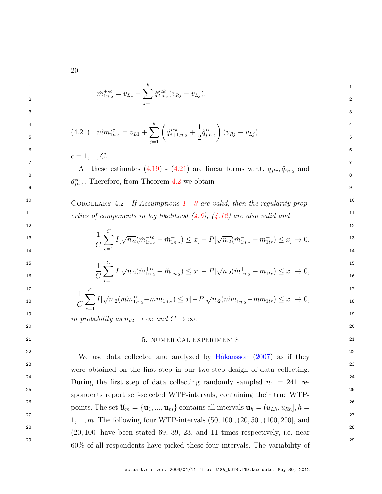$$
\check{m}_{1n_{\cdot 2}}^{+ \star c} = v_{L1} + \sum_{j=1}^{k} \check{q}_{j,n_{\cdot 2}}^{\star ck} (v_{Rj} - v_{Lj}),
$$

$$
f_{\rm{max}}(x)=\frac{1}{2}x
$$

3 3

$$
{}_{5}^{4} \t\t (4.21) \t\t\t $m\dot{m}_{1n_{2}}^{\star c} = v_{L1} + \sum_{j=1}^{k} \left( \check{q}_{j+1,n_{2}}^{\star ck} + \frac{1}{2} \check{q}_{j,n_{2}}^{\star c} \right) (v_{Rj} - v_{Lj}),$ \n<sup>4</sup>
$$

 $6$  $c = 1, ..., C$ .

7 7 All these estimates  $(4.19)$  -  $(4.21)$  are linear forms w.r.t.  $q_{jtr}, \check{q}_{jn,2}$  and  $\overline{q}_{jtr}$  $9$  9  $\check{q}^{\star c}_{jn,2}$ . Therefore, from Theorem [4.2](#page-18-0) we obtain

<sup>[1](#page-7-1)0</sup> COROLLARY 4.2 If Assumptions 1 - [3](#page-7-3) are valid, then the regularity prop-<sup>11</sup>  $11$  erties of components in log likelihood  $(4.6)$ ,  $(4.12)$  are also valid and

$$
\frac{1}{C} \sum_{c=1}^{C} I[\sqrt{n_{\cdot 2}} (\check{m}_{1n_{\cdot 2}}^{-\star c} - \check{m}_{1n_{\cdot 2}}^{-}) \leq x] - P[\sqrt{n_{\cdot 2}} (\check{m}_{1n_{\cdot 2}}^{-} - m_{1tr}^{-}) \leq x] \to 0,
$$
\n<sup>12</sup>

$$
\frac{1}{C} \sum_{c=1}^{C} I[\sqrt{n_2}(\check{m}_{1n_2}^{+ \star c} - \check{m}_{1n_2}^+) \le x] - P[\sqrt{n_2}(\check{m}_{1n_2}^+ - m_{1tr}^+) \le x] \to 0,
$$
\n<sup>15</sup>

$$
\frac{1}{C} \sum_{c=1}^{C} I[\sqrt{n_{\cdot 2}}(\check{m}m_{1n_{\cdot 2}}^{\star c} - \check{m}m_{1n_{\cdot 2}}) \leq x] - P[\sqrt{n_{\cdot 2}}(\check{m}m_{1n_{\cdot 2}}^{\star} - \check{m}m_{1tr}) \leq x] \to 0,
$$
<sup>17</sup>

19  $\text{in probability as } n_{p2} \to \infty \text{ and } C \to \infty.$ 

#### <span id="page-21-0"></span>21 21 5. NUMERICAL EXPERIMENTS

 $20$ 

<sup>22</sup> <sup>22</sup> We use data collected and analyzed by Håkansson  $(2007)$  as if they 23 23 were obtained on the first step in our two-step design of data collecting.  $24$  During the first step of data collecting randomly sampled  $n_1 = 241$  re-25 25 spondents report self-selected WTP-intervals, containing their true WTP-<sup>26</sup> points. The set  $\mathcal{U}_m = {\mathbf{u}_1, ..., \mathbf{u}_m}$  contains all intervals  $\mathbf{u}_h = (u_{Lh}, u_{Rh}], h =$ <sup>26</sup> <sup>27</sup> 1, ..., *m*. The following four WTP-intervals  $(50, 100]$ ,  $(20, 50]$ ,  $(100, 200]$ , and<sup>27</sup> <sup>28</sup>  $(20, 100)$  have been stated 69, 39, 23, and 11 times respectively, i.e. near <sup>28</sup> <sup>29</sup> <sup>29</sup> 60% of all respondents have picked these four intervals. The variability of

20

<span id="page-21-1"></span> $\check{m}$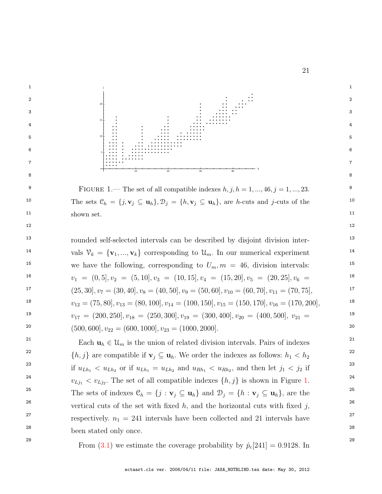<span id="page-22-0"></span>

<sup>29</sup> 29 From [\(3.1\)](#page-9-0) we estimate the coverage probability by  $\hat{p}_c[241] = 0.9128$ . In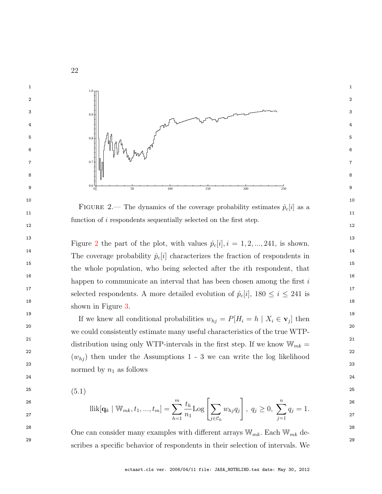

<span id="page-23-0"></span>FIGURE 2.— The dynamics of the coverage probability estimates  $\hat{p}_c[i]$  as a  $11$  $12$  and  $12$ function of i respondents sequentially selected on the first step.

<sup>13</sup> 13 Figure [2](#page-23-0) the part of the plot, with values  $\hat{p}_c[i], i = 1, 2, ..., 241$ , is shown. <sup>14</sup> 14 The coverage probability  $\hat{p}_c[i]$  characterizes the fraction of respondents in <sup>15</sup> 15 the whole population, who being selected after the *i*th respondent, that <sup>16</sup> 16 happen to communicate an interval that has been chosen among the first  $i$ <sup>16</sup> <sup>17</sup> 17 selected respondents. A more detailed evolution of  $\hat{p}_c[i]$ ,  $180 \le i \le 241$  is 18  $\hspace{1.5cm}$  18 shown in Figure [3.](#page-24-0)

<sup>19</sup> If we knew all conditional probabilities  $w_{hj} = P[H_i = h \mid X_i \in \mathbf{v}_j]$  then 20 20 we could consistently estimate many useful characteristics of the true WTP-<sup>21</sup> distribution using only WTP-intervals in the first step. If we know  $\mathbb{W}_{mk} =$ <sup>21</sup> <sup>22</sup>  $(w_{hj})$  then under the Assumptions 1 - 3 we can write the log likelihood<sup>22</sup>  $23$ normed by  $n_1$  as follows

<span id="page-23-1"></span>24 24

25 (5, 1) 25 (5.1)

$$
\text{llik}[\mathbf{q}_k \mid \mathbb{W}_{mk}, t_1, ..., t_m] = \sum_{h=1}^m \frac{t_h}{n_1} \text{Log}\left[\sum_{j \in \mathcal{C}_h} w_{hj} q_j\right], \ q_j \ge 0, \ \sum_{j=1}^n q_j = 1. \tag{26}
$$

<sup>28</sup> One can consider many examples with different arrays  $\mathbb{W}_{mk}$ . Each  $\mathbb{W}_{mk}$  de-29 29 scribes a specific behavior of respondents in their selection of intervals. We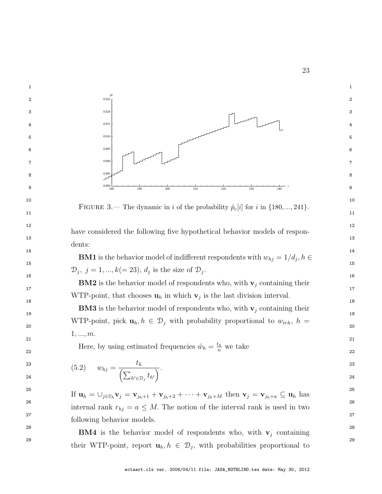<span id="page-24-0"></span>

<span id="page-24-1"></span>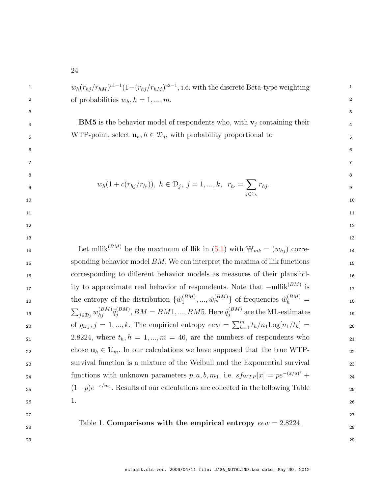| 1  | $w_h(r_{hj}/r_{hM})^{c1-1}(1-(r_{hj}/r_{hM})^{c2-1})$ , i.e. with the discrete Beta-type weighting                               | 1  |
|----|----------------------------------------------------------------------------------------------------------------------------------|----|
| 2  | of probabilities $w_h$ , $h = 1, , m$ .                                                                                          | 2  |
| 3  |                                                                                                                                  | 3  |
| 4  | <b>BM5</b> is the behavior model of respondents who, with $v_j$ containing their                                                 | 4  |
| 5  | WTP-point, select $\mathbf{u}_h, h \in \mathcal{D}_j$ , with probability proportional to                                         | 5  |
| 6  |                                                                                                                                  | 6  |
| 7  |                                                                                                                                  | 7  |
| 8  |                                                                                                                                  | 8  |
| 9  | $w_h(1 + c(r_{hj}/r_{h.})), h \in \mathcal{D}_j, j = 1, , k, r_h = \sum r_{hj}.$                                                 | 9  |
| 10 |                                                                                                                                  | 10 |
| 11 |                                                                                                                                  | 11 |
| 12 |                                                                                                                                  | 12 |
| 13 |                                                                                                                                  | 13 |
| 14 | Let mllik <sup>(BM)</sup> be the maximum of llik in (5.1) with $W_{mk} = (w_{kj})$ corre-                                        | 14 |
| 15 | sponding behavior model $BM$ . We can interpret the maxima of llik functions                                                     | 15 |
| 16 | corresponding to different behavior models as measures of their plausibil-                                                       | 16 |
| 17 | ity to approximate real behavior of respondents. Note that $-\text{mllik}^{(BM)}$ is                                             | 17 |
| 18 | the entropy of the distribution $\{\hat{w}_1^{(BM)},,\hat{w}_m^{(BM)}\}$ of frequencies $\hat{w}_h^{(BM)}$ =                     | 18 |
| 19 | $\sum_{j\in\mathcal{D}_j} w_{hj}^{(BM)} \check{q}_j^{(BM)}$ , $BM = BM1, , BM5$ . Here $\check{q}_j^{(BM)}$ are the ML-estimates | 19 |
| 20 | of $q_{trj}, j = 1, , k$ . The empirical entropy $eew = \sum_{h=1}^{m} t_h/n_1 \text{Log}[n_1/t_h] =$                            | 20 |
| 21 | 2.8224, where $t_h$ , $h = 1, , m = 46$ , are the numbers of respondents who                                                     | 21 |
| 22 | chose $\mathbf{u}_h \in \mathcal{U}_m$ . In our calculations we have supposed that the true WTP-                                 | 22 |
| 23 | survival function is a mixture of the Weibull and the Exponential survival                                                       | 23 |
| 24 | functions with unknown parameters $p, a, b, m_1$ , i.e. $s f_{WTP}[x] = p e^{-(x/a)^b} +$                                        | 24 |
| 25 | $(1-p)e^{-x/m_1}$ . Results of our calculations are collected in the following Table                                             | 25 |
| 26 | 1.                                                                                                                               | 26 |
| 27 |                                                                                                                                  | 27 |
| 28 | Table 1. Comparisons with the empirical entropy $eew = 2.8224$ .                                                                 | 28 |
|    |                                                                                                                                  |    |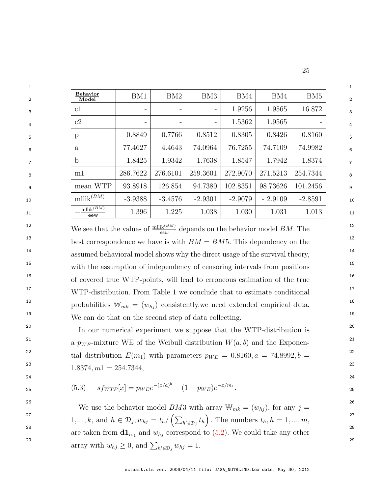| $\mathbf{1}$   |                          |                          |                   |                              |           |           |                 |
|----------------|--------------------------|--------------------------|-------------------|------------------------------|-----------|-----------|-----------------|
| 2              | <b>Behavior</b><br>Model | BM1                      | BM2               | BM <sub>3</sub>              | BM4       | BM4       | BM <sub>5</sub> |
| $\mathbf{3}$   | c1                       | $\overline{\phantom{m}}$ | $\qquad \qquad -$ | $\qquad \qquad -$            | 1.9256    | 1.9565    | 16.872          |
| $\overline{4}$ | c2                       | $\overline{\phantom{a}}$ | $\qquad \qquad -$ | $\qquad \qquad \blacksquare$ | 1.5362    | 1.9565    |                 |
| 5              | p                        | 0.8849                   | 0.7766            | 0.8512                       | 0.8305    | 0.8426    | 0.8160          |
| 6              | a                        | 77.4627                  | 4.4643            | 74.0964                      | 76.7255   | 74.7109   | 74.9982         |
| $\overline{7}$ | $\mathbf b$              | 1.8425                   | 1.9342            | 1.7638                       | 1.8547    | 1.7942    | 1.8374          |
| 8              | m1                       | 286.7622                 | 276.6101          | 259.3601                     | 272.9070  | 271.5213  | 254.7344        |
| 9              | mean WTP                 | 93.8918                  | 126.854           | 94.7380                      | 102.8351  | 98.73626  | 101.2456        |
| 10             | $mllik^{(BM)}$           | $-3.9388$                | $-3.4576$         | $-2.9301$                    | $-2.9079$ | $-2.9109$ | $-2.8591$       |
| 11             | $mllik^{(BM)}$<br>eew    | 1.396                    | 1.225             | 1.038                        | 1.030     | 1.031     | 1.013           |

<sup>12</sup> We see that the values of  $\frac{\text{mllik}^{(BM)}}{e\text{ew}}$  depends on the behavior model *BM*. The <sup>13</sup> best correspondence we have is with  $BM = BM5$ . This dependency on the <sup>13</sup> <sup>14</sup> assumed behavioral model shows why the direct usage of the survival theory, <sup>15</sup> 15 with the assumption of independency of censoring intervals from positions<sup>15</sup> <sup>16</sup> <sup>16</sup> of covered true WTP-points, will lead to erroneous estimation of the true <sup>17</sup> WTP-distribution. From Table 1 we conclude that to estimate conditional <sup>18</sup> probabilities  $\mathbb{W}_{mk} = (w_{hj})$  consistently, we need extended empirical data. <sup>19</sup> We can do that on the second step of data collecting.

<sup>20</sup> In our numerical experiment we suppose that the WTP-distribution is <sup>20</sup> <sup>21</sup> a  $p_{WE}$ -mixture WE of the Weibull distribution  $W(a, b)$  and the Exponen-<sup>22</sup> tial distribution  $E(m_1)$  with parameters  $p_{WE} = 0.8160, a = 74.8992, b = 22$  $1.8374, m1 = 254.7344,$ <sup>23</sup>

$$
s f_{WTP}[x] = p_{W}e^{-(x/a)^b} + (1 - p_{WE})e^{-x/m_1}.
$$

24 24

<sup>26</sup> 26 26 We use the behavior model *BM3* with array  $W_{mk} = (w_{hj})$ , for any  $j =$ 27 1, ..., k, and  $h \in \mathcal{D}_j, w_{hj} = t_h / (\sum_{h' \in \mathcal{D}_j} t_h)$ . The numbers  $t_h, h = 1, ..., m$ , <sup>28</sup> are taken from  $\mathbf{d} \mathbf{1}_{n_1}$  and  $w_{hj}$  correspond to [\(5.2\)](#page-24-1). We could take any other 29<br>array with  $w_{hj} \geq 0$ , and  $\sum_{h' \in \mathcal{D}_j} w_{hj} = 1$ .

<span id="page-26-0"></span>ectaart.cls ver. 2006/04/11 file: JASA\_NOTBLIND.tex date: May 30, 2012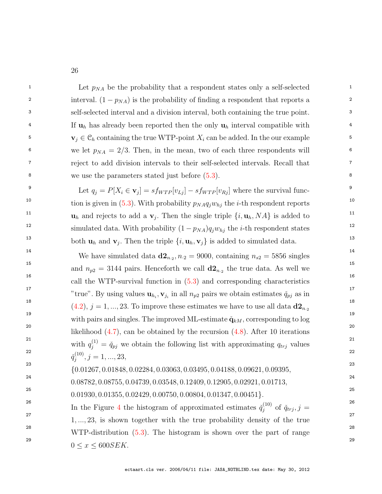| 1  | Let $p_{NA}$ be the probability that a respondent states only a self-selected                                                 | 1  |
|----|-------------------------------------------------------------------------------------------------------------------------------|----|
| 2  | interval. $(1 - pNA)$ is the probability of finding a respondent that reports a                                               | 2  |
| 3  | self-selected interval and a division interval, both containing the true point.                                               | 3  |
| 4  | If $\mathbf{u}_h$ has already been reported then the only $\mathbf{u}_h$ interval compatible with                             | 4  |
| 5  | $\mathbf{v}_j \in \mathcal{C}_h$ containing the true WTP-point $X_i$ can be added. In the our example                         | 5  |
| 6  | we let $p_{NA} = 2/3$ . Then, in the mean, two of each three respondents will                                                 | 6  |
| 7  | reject to add division intervals to their self-selected intervals. Recall that                                                | 7  |
| 8  | we use the parameters stated just before $(5.3)$ .                                                                            | 8  |
| 9  | Let $q_j = P[X_i \in \mathbf{v}_j] = sf_{WTP}[v_{Lj}] - sf_{WTP}[v_{Rj}]$ where the survival func-                            | 9  |
| 10 | tion is given in (5.3). With probability $p_{NA}q_jw_{hj}$ the <i>i</i> -th respondent reports                                | 10 |
| 11 | $\mathbf{u}_h$ and rejects to add a $\mathbf{v}_j$ . Then the single triple $\{i, \mathbf{u}_h, NA\}$ is added to             | 11 |
| 12 | simulated data. With probability $(1 - p_{NA})q_j w_{hj}$ the <i>i</i> -th respondent states                                  | 12 |
| 13 | both $\mathbf{u}_h$ and $\mathbf{v}_j$ . Then the triple $\{i, \mathbf{u}_h, \mathbf{v}_j\}$ is added to simulated data.      | 13 |
| 14 | We have simulated data $d\mathbf{2}_{n_2}$ , $n_2 = 9000$ , containing $n_{s2} = 5856$ singles                                | 14 |
| 15 | and $n_{p2} = 3144$ pairs. Henceforth we call $d2_{n_2}$ the true data. As well we                                            | 15 |
| 16 | call the WTP-survival function in $(5.3)$ and corresponding characteristics                                                   | 16 |
| 17 | "true". By using values $\mathbf{u}_{h_i}, \mathbf{v}_{j_i}$ in all $n_{p2}$ pairs we obtain estimates $\check{q}_{pj}$ as in | 17 |
| 18 | $(4.2), j = 1, , 23$ . To improve these estimates we have to use all data $d2_{n_2}$                                          | 18 |
| 19 | with pairs and singles. The improved ML-estimate $\check{\mathbf{q}}_{kM}$ , corresponding to log                             | 19 |
| 20 | likelihood $(4.7)$ , can be obtained by the recursion $(4.8)$ . After 10 iterations                                           | 20 |
| 21 | with $q_j^{(1)} = \check{q}_{pj}$ we obtain the following list with approximating $q_{trj}$ values                            | 21 |
| 22 | $\check{q}_i^{(10)}, j=1,,23,$                                                                                                | 22 |
| 23 | $\{0.01267, 0.01848, 0.02284, 0.03063, 0.03495, 0.04188, 0.09621, 0.09395,$                                                   | 23 |
| 24 | $0.08782, 0.08755, 0.04739, 0.03548, 0.12409, 0.12905, 0.02921, 0.01713,$                                                     | 24 |
| 25 | $0.01930, 0.01355, 0.02429, 0.00750, 0.00804, 0.01347, 0.00451$ .                                                             | 25 |
| 26 | In the Figure 4 the histogram of approximated estimates $\check{q}_i^{(10)}$ of $\check{q}_{trj}, j =$                        | 26 |
| 27 | $1, \ldots, 23$ , is shown together with the true probability density of the true                                             | 27 |
| 28 | WTP-distribution $(5.3)$ . The histogram is shown over the part of range                                                      | 28 |
| 29 | $0 \leq x \leq 600$ SEK.                                                                                                      | 29 |
|    |                                                                                                                               |    |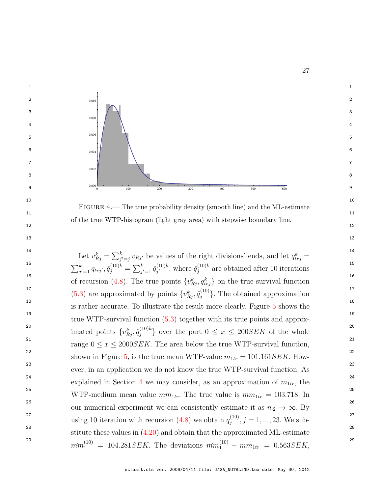<span id="page-28-0"></span>

ectaart.cls ver. 2006/04/11 file: JASA\_NOTBLIND.tex date: May 30, 2012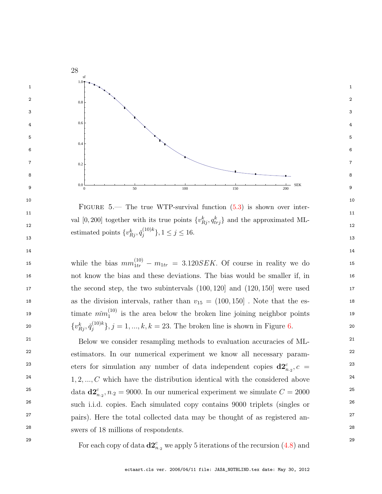

<span id="page-29-0"></span> $11$  11 val [0, 200] together with its true points  $\{v_{Rj}^k, q_{trj}^k\}$  and the approximated ML-<br>12 estimated points  $\{v_{Rj}^k, \check{q}_j^{(10)k}\}, 1 \le j \le 16.$ FIGURE  $5$ — The true WTP-survival function  $(5.3)$  is shown over inter- ${j^{(10)k}\choose j}, 1 \le j \le 16.$ 

15 while the bias  $mm_{1tr}^{(10)} - m_{1tr} = 3.120$  SEK. Of course in reality we do 15 16 16 not know the bias and these deviations. The bias would be smaller if, in 17 17 the second step, the two subintervals (100, 120] and (120, 150] were used 18 as the division intervals, rather than  $v_{15} = (100, 150)$ . Note that the es-19 timate  $m m_1^{(10)}$  is the area below the broken line joining neighbor points 19 20  $\{v_{Rj}^k, \check{q}_j^{(10)k}\}, j = 1, ..., k, k = 23$ . The broken line is shown in Figure 6. 20  $_1^{(10)}$  is the area below the broken line joining neighbor points  ${j_{j}}^{(10)k}, j = 1, ..., k, k = 23$ . The broken line is shown in Figure [6.](#page-30-0)

<sup>21</sup> Below we consider resampling methods to evaluation accuracies of ML-<sup>21</sup> <sup>22</sup> estimators. In our numerical experiment we know all necessary param-<sup>23</sup> eters for simulation any number of data independent copies  $\mathbf{d2}^c_{n,2}$ ,  $c =$ <sup>23</sup>  $2^{4}$  1, 2, ..., C which have the distribution identical with the considered above  $2^{4}$ <sup>25</sup> data  $\mathbf{d2}_{n_2}^c$ ,  $n_2 = 9000$ . In our numerical experiment we simulate  $C = 2000$ <sup>25</sup> <sup>26</sup> 26 such i.i.d. copies. Each simulated copy contains 9000 triplets (singles or <sup>27</sup> pairs). Here the total collected data may be thought of as registered an-28 28 swers of 18 millions of respondents.

<sup>29</sup> <sup>29</sup> For each copy of data  $\mathbf{d2}_{n,2}^c$  we apply 5 iterations of the recursion [\(4.8\)](#page-14-3) and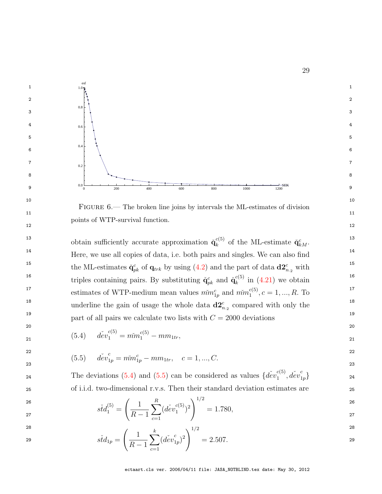

<span id="page-30-0"></span> $11$   $11$  $12$  and  $12$  and  $12$  and  $12$  and  $12$  and  $12$  and  $12$  and  $12$  and  $12$  and  $12$ FIGURE 6.— The broken line joins by intervals the ML-estimates of division points of WTP-survival function.

<sup>13</sup> obtain sufficiently accurate approximation  $\check{q}_k^{c(5)}$  of the ML-estimate  $\check{q}_{kM}^c$ . <sup>14</sup> Here, we use all copies of data, i.e. both pairs and singles. We can also find <sup>15</sup> the ML-estimates  $\check{\mathbf{q}}_{pk}^c$  of  $\mathbf{q}_{trk}$  by using [\(4.2\)](#page-12-1) and the part of data  $\mathbf{d2}_{n,2}^c$  with <sup>16</sup> triples containing pairs. By substituting  $\check{\mathbf{q}}_{pk}^c$  and  $\check{\mathbf{q}}_k^{c(5)}$  in (4.21) we obtain <sup>17</sup> estimates of WTP-medium mean values  $\tilde{m}^c_{1p}$  and  $\tilde{m}^{c(5)}_{1p}$ ,  $c = 1, ..., R$ . To <sup>18</sup> underline the gain of usage the whole data  $\mathbf{d2}_{n,2}^c$  compared with only the <sup>18</sup> 19 19 part of all pairs we calculate two lists with C = 2000 deviations  $k_k^{(5)}$  of the ML-estimate  $\check{\mathbf{q}}_{kM}^c$ .  $\binom{c(s)}{k}$  in  $(4.21)$  we obtain  $_1^{c_{(5)}}, c = 1, ..., R$ . To

<span id="page-30-2"></span>
$$
21 \qquad \qquad (5.4) \qquad \ddot{dev}_1^{c(5)} = \ddot{mm}_1^{c(5)} - \ddot{mm}_{1tr}, \qquad \qquad 21
$$

$$
d\check{e}v_{1p}^c = m\check{m}_{1p}^c - mm_{1tr}, \quad c = 1, ..., C.
$$
\n<sup>22</sup>\n<sup>23</sup>\n<sup>22</sup>\n<sup>24</sup>\n<sup>25</sup>\n<sup>26</sup>\n<sup>28</sup>\n<sup>29</sup>\n<sup>20</sup>\n<sup>21</sup>\n<sup>22</sup>\n<sup>22</sup>\n<sup>23</sup>\n<sup>24</sup>\n<sup>25</sup>\n<sup>26</sup>\n<sup>26</sup>\n<sup>27</sup>\n<sup>28</sup>\n<sup>29</sup>\n<sup>29</sup>\n<sup>20</sup>\n<sup>20</sup>\n<sup>21</sup>\n<sup>22</sup>\n<sup>22</sup>\n<sup>23</sup>\n<sup>24</sup>\n<sup>25</sup>\n<sup>26</sup>\n<sup>26</sup>\n<sup>27</sup>\n<sup>28</sup>\n<sup>29</sup>\n<sup>29</sup>\n<sup>20</sup>\n<sup>20</sup>\n<sup>21</sup>\n<sup>22</sup>\n<sup>22</sup>\n<sup>23</sup>\n<sup>24</sup>\n<sup>25</sup>\n<sup>26</sup>\n<sup>26</sup>\n<sup>27</sup>\n<sup>28</sup>\n<sup>29</sup>\n<sup>29</sup>\n<sup>20</sup>\n<sup>20</sup>\n<sup>21</sup>\n<sup>22</sup>\n<sup>22</sup>\n<sup>23</sup>\n<sup>24</sup>\n<sup>25</sup>\n<sup>26</sup>\n<sup>26</sup>\n<sup>27</sup>\n<sup>28</sup>\n<sup>29</sup>\n<sup>29</sup>\n<sup>20</sup>\n<sup>20</sup>\n<sup>21</sup>\n<sup>22</sup>\n<sup>23</sup>\n<sup>24</sup>\n<sup>25</sup>\n<sup>26</sup>\n<sup>26</sup>\n<sup>27</sup>\n<sup>28</sup>\n<sup>29</sup>\n<sup>29</sup>\n<sup>20</sup>\n<sup>20</sup>\n<sup>21</sup>\n<sup>2</sup>

 $20$ 

The deviations (5.4) and (5.5) can be considered as values 
$$
\{d\check{e}v_1^{c(5)}, d\check{e}v_{1p}^c\}
$$
  
of i.i.d. two-dimensional r.v.s. Then their standard deviation estimates are

$$
\tilde{std}_1^{(5)} = \left(\frac{1}{R-1} \sum_{c=1}^R (\check{dev}_1^{c(5)})^2\right)^{1/2} = 1.780,
$$

28 and  $\sim$  28 and  $\sim$  28 and  $\sim$  28 and  $\sim$  28 and  $\sim$  28 and  $\sim$  28 and  $\sim$  28

$$
s\check{t}d_{1p} = \left(\frac{1}{R-1}\sum_{c=1}^{k}(\check{dev}_{1p}^{c})^{2}\right)^{1/2} = 2.507.
$$
<sup>28</sup>

29

<span id="page-30-1"></span>ectaart.cls ver. 2006/04/11 file: JASA\_NOTBLIND.tex date: May 30, 2012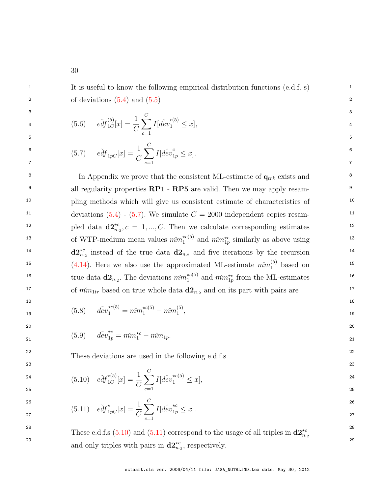<span id="page-31-5"></span><sup>1</sup> 1 It is useful to know the following empirical distribution functions (e.d.f. s)  $\circ$  2 of deviations  $(5.4)$  and  $(5.5)$ 

 $5$ 

<span id="page-31-0"></span>
$$
e^{3}d f_{1C}^{(5)}[x] = \frac{1}{C} \sum_{c=1}^{C} I[dev_{1}^{c(5)} \leq x],
$$

$$
\begin{array}{ll}\n\text{6} & \text{if } \left(5.7\right) \\
\text{c} & \text{e} \, \text{d} \, f_{1pC}[x] = \frac{1}{C} \sum_{c=1}^{C} I[d \, \text{e} \, v_{1p}^c \leq x].\n\end{array}
$$

<sup>8</sup> In Appendix we prove that the consistent ML-estimate of  $q_{trk}$  exists and  $q_{trk}$ <sup>9</sup> all regularity properties **RP1** - **RP5** are valid. Then we may apply resam-<sup>10</sup> pling methods which will give us consistent estimate of characteristics of <sup>10</sup> <sup>11</sup> deviations  $(5.4)$  -  $(5.7)$ . We simulate  $C = 2000$  independent copies resam-<sup>12</sup> pled data  $\mathbf{d2}^{\star c}_{n,2}$ ,  $c = 1, ..., C$ . Then we calculate corresponding estimates <sup>12</sup> <sup>13</sup> of WTP-medium mean values  $m m_1^{\star c(5)}$  and  $m m_1^{\star c}$  similarly as above using <sup>13</sup>  $d2_{n,2}^{\star c}$  instead of the true data  $d2_{n,2}$  and five iterations by the recursion <sup>15</sup> [\(4.14\)](#page-18-2). Here we also use the approximated ML-estimate  $\tilde{m}$ <sup>(5)</sup> based on<sup>15</sup> <sup>16</sup> true data  $\mathbf{d2}_{n,2}$ . The deviations  $m_{1}^{*c}(5)$  and  $m_{1p}^{*c}$  from the ML-estimates <sup>16</sup> <sup>17</sup> of  $m_{1tr}$  based on true whole data  $d_{n_2}$  and on its part with pairs are <sup>17</sup>  $n_1^{\star c(5)}$  and  $m_{1p}^{\star c}$  similarly as above using  $i_{1}^{\star c(5)}$  and  $m_{1p}^{\star c}$  from the ML-estimates

<span id="page-31-4"></span>19 19 (5.8) ˇdev?c(5) <sup>1</sup> = ˇmm ?c(5) <sup>1</sup> − mmˇ (5) 1 ,

21 21 (5.9) ˇdev?c 1p = ˇmm?c <sup>1</sup> − mmˇ <sup>1</sup>p.

<span id="page-31-1"></span><sup>22</sup> These deviations are used in the following e.d.f.s <sup>22</sup>

<span id="page-31-2"></span>
$$
\begin{array}{ll} \text{24} & \text{25} \\ \text{25} & \text{26} \end{array} \quad \text{e\'df}_{1C}^{\star(5)}[x] = \frac{1}{C} \sum_{c=1}^{C} I[\text{d\'ev}_1^{\star c(5)} \le x], \tag{24}
$$

<span id="page-31-3"></span> $18$ 

 $20$ 

23 23

$$
e^{26}
$$
\n
$$
e^{26}
$$
\n
$$
e^{26}
$$
\n
$$
e^{26}
$$
\n
$$
e^{26}
$$
\n
$$
e^{26}
$$
\n
$$
e^{26}
$$
\n
$$
e^{26}
$$
\n
$$
e^{26}
$$
\n
$$
e^{26}
$$
\n
$$
e^{26}
$$
\n
$$
e^{26}
$$
\n
$$
e^{27}
$$
\n
$$
e^{27}
$$
\n
$$
e^{27}
$$
\n
$$
e^{27}
$$
\n
$$
e^{27}
$$

<sup>28</sup> These e.d.f.s [\(5.10\)](#page-31-1) and [\(5.11\)](#page-31-2) correspond to the usage of all triples in  $\mathbf{d2}^{\star c}_{n,q}$ <sup>28</sup> 29 and only triples with pairs in  $\mathbf{d2}^{\star c}_{n,2}$ , respectively.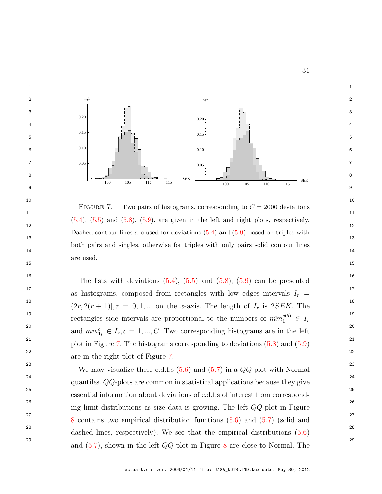

<span id="page-32-0"></span> $11$   $11$  $12$  $13$   $13$ 14 14  $15$  15 FIGURE 7.— Two pairs of histograms, corresponding to  $C = 2000$  deviations  $(5.4)$ ,  $(5.5)$  and  $(5.8)$ ,  $(5.9)$ , are given in the left and right plots, respectively. Dashed contour lines are used for deviations [\(5.4\)](#page-30-1) and [\(5.9\)](#page-31-4) based on triples with both pairs and singles, otherwise for triples with only pairs solid contour lines are used.

<sup>16</sup> 16 16 16 16 The lists with deviations  $(5.4)$ ,  $(5.5)$  and  $(5.8)$ ,  $(5.9)$  can be presented <sup>17</sup> as histograms, composed from rectangles with low edges intervals  $I_r =$ <sup>17</sup> <sup>18</sup>  $(2r, 2(r + 1)], r = 0, 1, ...$  on the x-axis. The length of  $I_r$  is  $2SEK$ . The 19 19 rectangles side intervals are proportional to the numbers of  $\tilde{m}$ <sup>c(5)</sup>  $\in I_r$ <sup>19</sup> 20 and  $\widetilde{mm}_{1p}^c \in I_r, c = 1, ..., C$ . Two corresponding histograms are in the left 20 <sup>21</sup> plot in Figure [7.](#page-32-0) The histograms corresponding to deviations  $(5.8)$  and  $(5.9)$ <sup>21</sup> 22 and  $\overline{a}$  22 and  $\overline{a}$  22 and  $\overline{a}$  22 and  $\overline{a}$  22 and  $\overline{a}$  22 and  $\overline{a}$  22 are in the right plot of Figure [7.](#page-32-0)

<sup>23</sup> 23 We may visualize these e.d.f.s  $(5.6)$  and  $(5.7)$  in a  $QQ$ -plot with Normal <sup>24</sup>  $\qquad \qquad \text{quantiles. } QQ\text{-plots are common in statistical applications because they give$ 25 25 essential information about deviations of e.d.f.s of interest from correspond-26 26 ing limit distributions as size data is growing. The left QQ-plot in Figure <sup>27</sup> <sup>27</sup> [8](#page-33-1) contains two empirical distribution functions  $(5.6)$  and  $(5.7)$  (solid and 28 28 <sup>29</sup> 29 and [\(5.7\)](#page-31-0), shown in the left  $QQ$ -plot in Figure [8](#page-33-1) are close to Normal. The dashed lines, respectively). We see that the empirical distributions [\(5.6\)](#page-31-5)

ectaart.cls ver. 2006/04/11 file: JASA\_NOTBLIND.tex date: May 30, 2012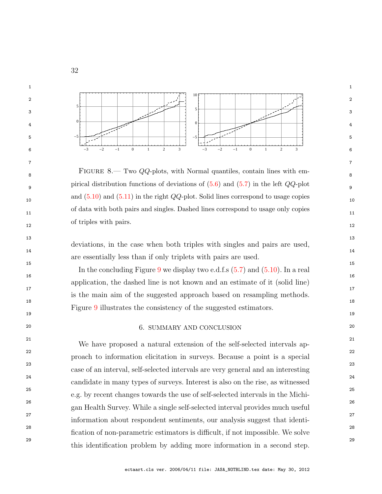

<span id="page-33-1"></span>8 8 8.— Two *QQ*-plots, with Normal quantiles, contain lines with em-9 9 pirical distribution functions of deviations of  $(5.6)$  and  $(5.7)$  in the left  $QQ$ -plot and  $(5.10)$  and  $(5.11)$  in the right  $QQ$ -plot. Solid lines correspond to usage copies 11 11 of data with both pairs and singles. Dashed lines correspond to usage only copies  $\frac{12}{2}$  12 of triples with pairs.

14 14 deviations, in the case when both triples with singles and pairs are used, are essentially less than if only triplets with pairs are used.

 $13$ 

 $15$  15

 $16$  $17$  and  $17$  $18$ In the concluding Figure [9](#page-34-0) we display two e.d.f.s [\(5.7\)](#page-31-0) and [\(5.10\)](#page-31-1). In a real application, the dashed line is not known and an estimate of it (solid line) is the main aim of the suggested approach based on resampling methods. Figure [9](#page-34-0) illustrates the consistency of the suggested estimators.

#### <span id="page-33-0"></span>20 20 6. SUMMARY AND CONCLUSION

 $19$ 

<sup>21</sup> <sup>21</sup> We have proposed a natural extension of the self-selected intervals ap-22 and  $\overline{a}$  22 23 23 case of an interval, self-selected intervals are very general and an interesting 24 24 candidate in many types of surveys. Interest is also on the rise, as witnessed 25 25 e.g. by recent changes towards the use of self-selected intervals in the Michi-26 26 gan Health Survey. While a single self-selected interval provides much useful 27 27 information about respondent sentiments, our analysis suggest that identi-28 28 fication of non-parametric estimators is difficult, if not impossible. We solve <sup>29</sup> this identification problem by adding more information in a second step. proach to information elicitation in surveys. Because a point is a special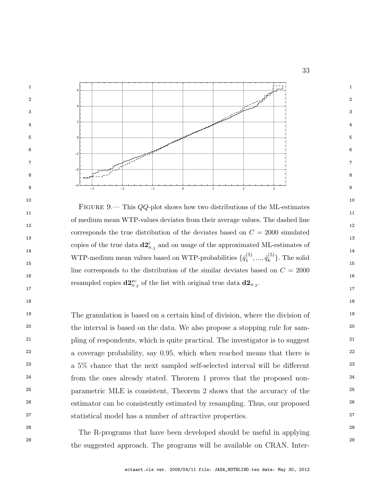

<span id="page-34-0"></span> $10$  $11$   $11$  $12$  and  $12$  and  $12$  and  $12$  and  $12$  and  $12$  and  $12$  and  $12$  and  $12$  and  $12$  $13$  $\frac{14}{14}$  14 15 WTP-medium mean values based on WTP-probabilities  $\{\check{q}_1^{(5)},...,\check{q}_k^{(5)}\}$ . The solid  $16$ resampled copies  $\mathbf{d2}^{\star c}_{n,2}$  of the list with original true data  $\mathbf{d2}_{n,2}$ . FIGURE 9.— This  $QQ$ -plot shows how two distributions of the ML-estimates of medium mean WTP-values deviates from their average values. The dashed line corresponds the true distribution of the deviates based on  $C = 2000$  simulated copies of the true data  $\mathbf{d2}_{n_{2}}^{c}$  and on usage of the approximated ML-estimates of  $\check{q}_1^{(5)},...,\check{q}_k^{(5)}$  $\{^{(5)}_k\}$ . The solid line corresponds to the distribution of the similar deviates based on  $C = 2000$ 

 $18$ 

<sup>19</sup> The granulation is based on a certain kind of division, where the division of <sup>19</sup> <sup>20</sup> the interval is based on the data. We also propose a stopping rule for sam-<sup>21</sup> pling of respondents, which is quite practical. The investigator is to suggest<sup>21</sup> <sup>22</sup> a coverage probability, say 0.95, which when reached means that there is <sup>22</sup> <sup>23</sup> a 5\% chance that the next sampled self-selected interval will be different <sup>23</sup> <sup>24</sup> from the ones already stated. Theorem 1 proves that the proposed non-25 25 parametric MLE is consistent, Theorem 2 shows that the accuracy of the <sup>26</sup> estimator can be consistently estimated by resampling. Thus, our proposed<sup>26</sup> 27 27 statistical model has a number of attractive properties.

28 28 The R-programs that have been developed should be useful in applying 29 29 the suggested approach. The programs will be available on CRAN. Inter-

ectaart.cls ver. 2006/04/11 file: JASA\_NOTBLIND.tex date: May 30, 2012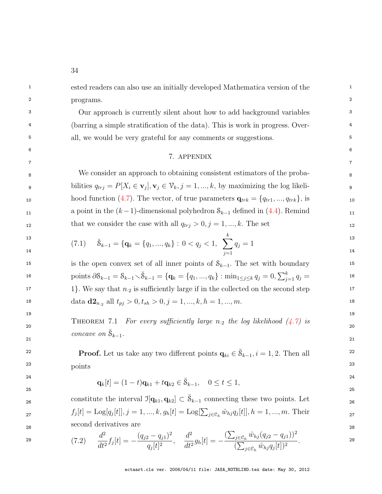<sup>1</sup> 1 ested readers can also use an initially developed Mathematica version of the <sup>1</sup> 2 **between the contract of the contract of the contract of the contract of the contract of the contract of the contract of the contract of the contract of the contract of the contract of the contract of the contract of the** programs.

3 3 Our approach is currently silent about how to add background variables <sup>4</sup> (barring a simple stratification of the data). This is work in progress. Over-<sup>5</sup> all, we would be very grateful for any comments or suggestions.

#### $6$ 7 7 7. APPENDIX

8 8 We consider an approach to obtaining consistent estimators of the proba-9 bilities  $q_{trj} = P[X_i \in \mathbf{v}_j], \mathbf{v}_j \in \mathcal{V}_k, j = 1, ..., k$ , by maximizing the log likeli- $10$  hood function [\(4.7\)](#page-14-1). The vector, of true parameters  $\mathbf{q}_{trk} = \{q_{tr1}, ..., q_{trk}\}\$ , is 11 11 11 11 a point in the  $(k-1)$ -dimensional polyhedron  $S_{k-1}$  defined in  $(4.4)$ . Remind that we consider the case with all  $q_{trj} > 0, j = 1, ..., k$ . The set 12

<span id="page-35-2"></span>
$$
\begin{array}{ll}\n\text{13} \\
\text{14}\n\end{array}\n\qquad\n\begin{array}{ll}\n\tilde{S}_{k-1} = \{q_k = \{q_1, \dots, q_k\} : 0 < q_j < 1, \quad \sum_{j=1}^k q_j = 1\n\end{array}\n\qquad\n\begin{array}{ll}\n\text{13} \\
\text{14}\n\end{array}
$$

15 15 is the open convex set of all inner points of Sk−1. The set with boundary 16 points  $\partial \mathcal{S}_{k-1} = \mathcal{S}_{k-1} \setminus \check{\mathcal{S}}_{k-1} = \{ \mathbf{q}_k = \{q_1, ..., q_k\} : \min_{1 \le j \le k} q_j = 0, \sum_{j=1}^k q_j = 16$ 17 17 1}. We say that n·<sup>2</sup> is sufficiently large if in the collected on the second step 18 data  $d\mathbf{2}_{n_2}$  all  $t_{pj} > 0, t_{sh} > 0, j = 1, ..., k, h = 1, ..., m$ .

THEOREM 7.1 For every sufficiently large  $n_2$  the log likelihood  $(4.7)$  is 21 and  $\frac{1}{2}$  21 concave on  $\check{\mathcal{S}}_{k-1}$ .

<span id="page-35-0"></span> $19$ 

**Proof.** Let us take any two different points  $\mathbf{q}_{ki} \in \mathcal{S}_{k-1}, i = 1, 2$ . Then all <sup>22</sup>  $23$  and  $23$ points

$$
\mathbf{q}_k[t] = (1-t)\mathbf{q}_{k1} + t\mathbf{q}_{k2} \in \mathring{\mathbf{S}}_{k-1}, \quad 0 \le t \le 1,
$$

<span id="page-35-1"></span>constitute the interval  $\mathcal{I}[\mathbf{q}_{k1}, \mathbf{q}_{k2}] \subset \check{\mathcal{S}}_{k-1}$  connecting these two points. Let <sub>26</sub>  $f_j[t] = \text{Log}[q_j[t]], j = 1, ..., k, g_h[t] = \text{Log}[\sum_{j \in \mathcal{C}_h} \hat{w}_{hj} q_j[t]], h = 1, ..., m.$  Their 28 Second definatives are 28 second derivatives are

$$
(7.2) \qquad \frac{d^2}{dt^2} f_j[t] = -\frac{(q_{j2} - q_{j1})^2}{q_j[t]^2}, \qquad \frac{d^2}{dt^2} g_h[t] = -\frac{(\sum_{j \in \mathfrak{S}_h} \hat{w}_{hj}(q_{j2} - q_{j1}))^2}{(\sum_{j \in \mathfrak{S}_h} \hat{w}_{hj}q_j[t])^2}.
$$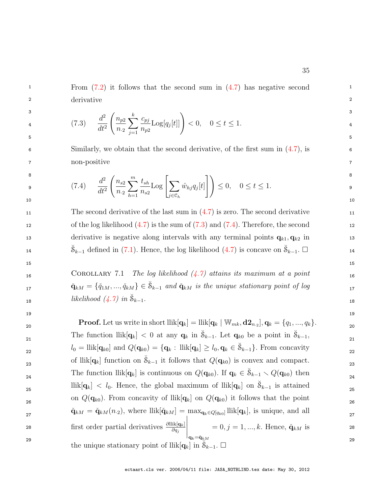<span id="page-36-1"></span><sup>1</sup> From  $(7.2)$  it follows that the second sum in  $(4.7)$  has negative second 2 derivative 2 derivative

$$
\frac{d^2}{dt^2} \left( \frac{n_{p2}}{n_2} \sum_{j=1}^k \frac{c_{pj}}{n_{p2}} \text{Log}[q_j[t]] \right) < 0, \quad 0 \le t \le 1. \tag{3}
$$

<span id="page-36-2"></span>6 6 Similarly, we obtain that the second derivative, of the first sum in [\(4.7\)](#page-14-1), is 7 7 non-positive

$$
\begin{array}{ll}\n\text{8} & \\
\text{9} & \\
\text{10} & \\
\text{11} & \\
\text{22} & \\
\text{23} & \\
\text{24} & \\
\text{25} & \\
\text{26} & \\
\text{27} & \\
\text{28} & \\
\text{29} & \\
\text{20} & \\
\text{21} & \\
\text{22} & \\
\text{23} & \\
\text{24} & \\
\text{25} & \\
\text{26} & \\
\text{27} & \\
\text{28} & \\
\text{29} & \\
\text{20} & \\
\text{21} & \\
\text{22} & \\
\text{23} & \\
\text{24} & \\
\text{25} & \\
\text{26} & \\
\text{27} & \\
\text{28} & \\
\text{29} & \\
\text{20} & \\
\text{21} & \\
\text{22} & \\
\text{23} & \\
\text{24} & \\
\text{25} & \\
\text{26} & \\
\text{27} & \\
\text{28} & \\
\text{29} & \\
\text{20} & \\
\text{21} & \\
\text{22} & \\
\text{23} & \\
\text{24} & \\
\text{25} & \\
\text{26} & \\
\text{27} & \\
\text{28} & \\
\text{29} & \\
\text{20} & \\
\text{21} & \\
\text{22} & \\
\text{23} & \\
\text{24} & \\
\text{25} & \\
\text{26} & \\
\text{27} & \\
\text{28} & \\
\text{29} & \\
\text{20} & \\
\text{21} & \\
\text{22} & \\
\text{23} & \\
\text{24} & \\
\text{25} & \\
\text{26} & \\
\text{27} & \\
\text{28} & \\
\text{29} & \\
\text{20} & \\
\text{21} & \\
\text{22} & \\
\text{2
$$

11 11 The second derivative of the last sum in  $(4.7)$  is zero. The second derivative 11 12 of the log likelihood  $(4.7)$  is the sum of  $(7.3)$  and  $(7.4)$ . Therefore, the second 13 derivative is negative along intervals with any terminal points  $\mathbf{q}_{k1}, \mathbf{q}_{k2}$  in 13  $\check{\mathcal{S}}_{k-1}$  defined in [\(7.1\)](#page-35-2). Hence, the log likelihood [\(4.7\)](#page-14-1) is concave on  $\check{\mathcal{S}}_{k-1}$ .  $\square$ 

16 COROLLARY 7.1 The log likelihood  $(4.7)$  attains its maximum at a point  $\check{\mathbf{q}}_{kM} = \{\check{q}_{1M},...,\check{q}_{kM}\}\in\check{\mathcal{S}}_{k-1}$  and  $\check{\mathbf{q}}_{kM}$  is the unique stationary point of log  $\mathbf{q}_{kM}$ 18 likelihood  $(4.7)$  in  $\breve{\mathcal{S}}_{k-1}$ .

 $19$ 

<span id="page-36-0"></span> $15$  15

**Proof.** Let us write in short  $\text{llik}[\mathbf{q}_k] = \text{llik}[\mathbf{q}_k | \mathbf{W}_{mk}, \mathbf{d2}_{n_2}], \mathbf{q}_k = \{q_1, ..., q_k\}.$ 21 21 The function  $\text{llik}[\mathbf{q}_k] < 0$  at any  $\mathbf{q}_k$  in  $\breve{\mathcal{S}}_{k-1}$ . Let  $\mathbf{q}_{k0}$  be a point in  $\breve{\mathcal{S}}_{k-1}$ ,  $l_0 = \text{llik}[\mathbf{q}_{k0}]$  and  $Q(\mathbf{q}_{k0}) = {\mathbf{q}_k : \text{llik}[\mathbf{q}_k] \ge l_0, \mathbf{q}_k \in \mathcal{S}_{k-1}}$ . From concavity of llik $[q_k]$  function on  $\check{S}_{k-1}$  it follows that  $Q(q_{k0})$  is convex and compact. 24 The function llik $[\mathbf{q}_k]$  is continuous on  $Q(\mathbf{q}_{k0})$ . If  $\mathbf{q}_k \in \breve{\mathcal{S}}_{k-1} \setminus Q(\mathbf{q}_{k0})$  then  $25$  llik $[q_k] < l_0$ . Hence, the global maximum of llik $[q_k]$  on  $\breve{\mathcal{S}}_{k-1}$  is attained 26 26 on Q(qk0). From concavity of llik[qk] on Q(qk0) it follows that the point  $\check{\mathbf{q}}_{kM} = \check{\mathbf{q}}_{kM}(n_2)$ , where  $\text{llik}[\check{\mathbf{q}}_{kM}] = \max_{\mathbf{q}_k \in Q[q_{k0}]} \text{llik}[\mathbf{q}_k]$ , is unique, and all  $\mathbf{q}_k$ 28 first order partial derivatives  $\frac{\partial \text{llik}[q_k]}{\partial q_j}$  = 0, j = 1, ..., k. Hence,  $\check{q}_{kM}$  is 28 29 the unique stationary point of  $\text{llik}[\mathbf{q}_k]$  in  $\mathcal{S}_{k-1}$ .  $\square$  $\begin{array}{c} \hline \end{array}$  $\mathbf{q}_{k}{=}\check{\mathbf{q}}_{kM}$  $= 0, j = 1, ..., k$ . Hence,  $\check{\mathbf{q}}_{kM}$  is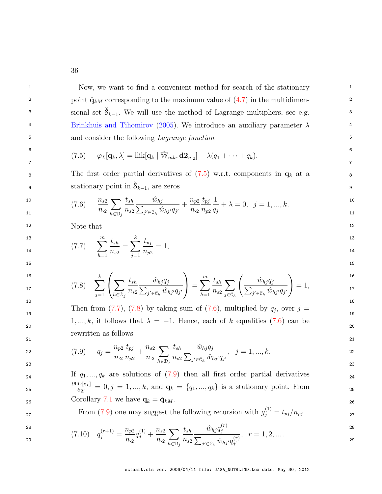<sup>1</sup> Now, we want to find a convenient method for search of the stationary <sup>1</sup> point  $\check{\mathbf{q}}_{kM}$  corresponding to the maximum value of  $(4.7)$  in the multidimen-3 sional set  $\breve{S}_{k-1}$ . We will use the method of Lagrange multipliers, see e.g. 3 <sup>4</sup> [Brinkhuis and Tihomirov](#page-44-10) [\(2005\)](#page-44-10). We introduce an auxiliary parameter  $\lambda$ <sup>4</sup> <sup>5</sup> and consider the following *Lagrange function*<sup>5</sup>

<span id="page-37-0"></span>
$$
(7.5) \qquad \varphi_L[\mathbf{q}_k,\lambda] = \text{llik}[\mathbf{q}_k \mid \hat{\mathbb{W}}_{mk},\mathbf{d} \mathbf{2}_{n \cdot 2}] + \lambda (q_1 + \cdots + q_k).
$$

<span id="page-37-3"></span>8 8 The first order partial derivatives of [\(7.5\)](#page-37-0) w.r.t. components in q<sup>k</sup> at a 9 stationary point in  $\breve{\mathcal{S}}_{k-1}$ , are zeros

$$
(7.6) \qquad \frac{n_{s2}}{n_{.2}} \sum_{h \in \mathcal{D}_j} \frac{t_{sh}}{n_{s2}} \frac{\hat{w}_{hj}}{\sum_{j' \in \mathcal{C}_h} \hat{w}_{hj'}q_{j'}} + \frac{n_{p2}}{n_{.2}} \frac{t_{pj}}{n_{p2}} \frac{1}{q_j} + \lambda = 0, \ \ j = 1, ..., k.
$$

<span id="page-37-1"></span>12 Note that the same of the same of the same of the same of the same of the same of the same of the same of the same of the same of the same of the same of the same of the same of the same of the same of the same of the s Note that

$$
\sum_{h=1}^{13} \frac{t_{sh}}{n_{s2}} = \sum_{j=1}^{k} \frac{t_{pj}}{n_{p2}} = 1,
$$
\n<sup>13</sup>  
\n<sup>14</sup>  
\n<sup>15</sup>

<span id="page-37-2"></span>

$$
16\n17\n(7.8) 
$$
\sum_{j=1}^{k} \left( \sum_{h \in \mathcal{D}_j} \frac{t_{sh}}{n_{s2}} \frac{\hat{w}_{hj} q_j}{\sum_{j' \in \mathcal{C}_h} \hat{w}_{hj'} q_{j'}} \right) = \sum_{h=1}^{m} \frac{t_{sh}}{n_{s2}} \sum_{j \in \mathcal{C}_h} \left( \frac{\hat{w}_{hj} q_j}{\sum_{j' \in \mathcal{C}_h} \hat{w}_{hj'} q_{j'}} \right) = 1,
$$
$$

<span id="page-37-4"></span>Then from [\(7.7\)](#page-37-1), [\(7.8\)](#page-37-2) by taking sum of [\(7.6\)](#page-37-3), multiplied by  $q_j$ , over  $j =$  $20$ 21 21  $1, ..., k$ , it follows that  $\lambda = -1$ . Hence, each of k equalities [\(7.6\)](#page-37-3) can be rewritten as follows

$$
(7.9) \t q_j = \frac{n_{p2}}{n_{.2}} \frac{t_{pj}}{n_{p2}} + \frac{n_{s2}}{n_{.2}} \sum_{h \in \mathcal{D}_j} \frac{t_{sh}}{n_{s2}} \frac{\hat{w}_{hj} q_j}{\sum_{j' \in \mathcal{C}_h} \hat{w}_{hj'} q_{j'}}, \ \ j = 1, ..., k.
$$

24 If  $q_1, ..., q_k$  are solutions of  $(7.9)$  then all first order partial derivatives 25  $\frac{\partial q_i}{\partial q_i} = 0, j = 1, ..., k,$  and  $q_k = \{q_1, ..., q_k\}$  is a stationary point. From  $26$  Corollary [7.1](#page-36-0) we have  $\mathbf{q}_k = \check{\mathbf{q}}_{kM}$ .  $\partial \text{llik}[\mathbf{q}_k]$  $\frac{\partial R[\mathbf{q}_k]}{\partial q_j} = 0, j = 1, ..., k$ , and  $\mathbf{q}_k = \{q_1, ..., q_k\}$  is a stationary point. From

<span id="page-37-5"></span> $27$  From [\(7.9\)](#page-37-4) one may suggest the following recursion with  $g_j^{(1)} = t_{pj}/n_{pj}$ 

$$
28 \t\t (7.10) \t0(r+1) \t np2(1) \t ns2 \t tsh \t \hat{w}_{hj} q_j^{(r)} \t\t 1.2 \t 28
$$

$$
(7.10) \quad q_j^{(r+1)} = \frac{n_{p2}}{n_2} q_j^{(1)} + \frac{n_{s2}}{n_2} \sum_{h \in \mathcal{D}_j} \frac{\iota_{sh}}{n_{s2}} \frac{w_{hj} q_j}{\sum_{j' \in \mathcal{C}_h} \hat{w}_{hj'} q_{j'}^{(r)}}, \quad r = 1, 2, \dots
$$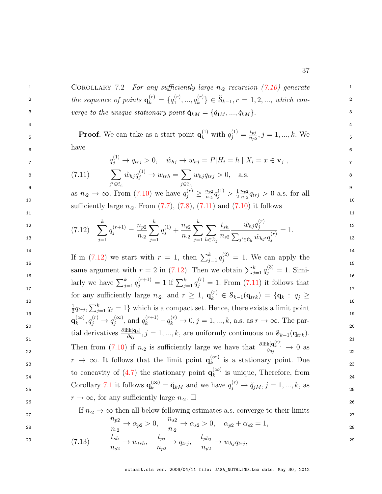<span id="page-38-0"></span>COROLLARY 7.2 For any sufficiently large  $n_2$  recursion [\(7.10\)](#page-37-5) generate the sequence of points  $\mathbf{q}_k^{(r)}$  $\binom{r}{k} = \{q_1^{(r)}\}$  $\mathbf{q}_1^{(r)},...,\mathbf{q}_k^{(r)}$  $\{S_k^{(r)}\} \in \breve{\mathcal{S}}_{k-1}, r = 1, 2, ...,$  which converge to the unique stationary point  $\check{\mathbf{q}}_{kM} = {\{\check{q}}_{1M}, ..., \check{q}_{kM}\}.$ 

> 4 5

6

7

8

<span id="page-38-2"></span>9

1

2

3

| <b>Proof.</b> We can take as a start point $\mathbf{q}_k^{(1)}$ with $q_j^{(1)} = \frac{t_{pj}}{n_{p2}}, j = 1, , k$ . We |  |  |
|---------------------------------------------------------------------------------------------------------------------------|--|--|
| have                                                                                                                      |  |  |

<span id="page-38-1"></span>
$$
q_j^{(1)} \to q_{trj} > 0, \quad \hat{w}_{hj} \to w_{hj} = P[H_i = h \mid X_i = x \in \mathbf{v}_j],
$$

(7.11) 
$$
\sum_{j' \in \mathfrak{S}_h} \hat{w}_{hj} q_j^{(1)} \to w_{trh} = \sum_{j \in \mathfrak{S}_h} w_{hj} q_{trj} > 0, \text{ a.s.}
$$

 $11$   $11$ 

 $10$  10 as  $n_2 \to \infty$ . From [\(7.10\)](#page-37-5) we have  $q_j^{(r)}$  $\binom{(r)}{j}\geq \frac{n_{p2}}{n_{\cdot 2}}q_{j}^{(1)}$  $j^{(1)}$  >  $\frac{1}{2} \frac{n_{p2}}{n_{\cdot 2}} q_{trj}$  > 0 a.s. for all sufficiently large  $n_2$ . From  $(7.7)$ ,  $(7.8)$ ,  $(7.11)$  and  $(7.10)$  it follows

$$
(7.12) \quad \sum_{j=1}^{k} q_j^{(r+1)} = \frac{n_{p2}}{n_{\cdot 2}} \sum_{j=1}^{k} q_j^{(1)} + \frac{n_{s2}}{n_{\cdot 2}} \sum_{j=1}^{k} \sum_{h \in \mathcal{D}_j} \frac{t_{sh}}{n_{s2}} \frac{\hat{w}_{hj} q_j^{(r)}}{\sum_{j' \in \mathcal{C}_h} \hat{w}_{hj'} q_j^{(r)}} = 1.
$$

 $14$  and  $14$  and  $14$  and  $14$  and  $14$  and  $14$  $\frac{15}{2}$  15 <sup>16</sup><br>larly we have  $\sum_{j=1}^{k} q_j^{(r+1)} = 1$  if  $\sum_{j=1}^{k} q_j^{(r)} = 1$ . From [\(7.11\)](#page-38-1) it follows that 17  $\frac{1}{2}$  17 <sup>18</sup><br>  $\frac{1}{2}q_{trj}, \sum_{j=1}^{k} q_j = 1$ } which is a compact set. Hence, there exists a limit point 19  $\frac{2}{3}$  19  $\frac{1}{2}$  19  $\frac{1}{2}$  19  $\frac{1}{2}$  19 20  $\frac{1}{2}$  20 tial derivatives  $\frac{\partial \text{llik}[\mathbf{q}_k]}{\partial q_j}$ ,  $j = 1, ..., k$ , are uniformly continuous on  $\mathcal{S}_{k-1}(\mathbf{q}_{trk})$ . 22 Then from [\(7.10\)](#page-37-5) if  $n_2$  is sufficiently large we have that  $\frac{\partial \text{llik}[\mathbf{q}_k^{(r)}]}{\partial q_j} \to 0$  as 23  $r \to \infty$ . It follows that the limit point  $\mathbf{q}_k^{(\infty)}$  is a stationary point. Due to concavity of [\(4.7\)](#page-14-1) the stationary point  $\mathbf{q}_k^{(\infty)}$  is unique, Therefore, from  $_{24}$ 25 Corollary [7.1](#page-36-0) it follows  $\mathbf{q}_k^{(\infty)} = \check{\mathbf{q}}_{kM}$  and we have  $q_j^{(r)} \to \check{q}_{jM}, j = 1, ..., k$ , as  $r \to \infty$ , for any sufficiently large  $n_2$ .  $\Box$ If in [\(7.12\)](#page-38-2) we start with  $r = 1$ , then  $\sum_{j=1}^{k} q_j^{(2)} = 1$ . We can apply the same argument with  $r = 2$  in [\(7.12\)](#page-38-2). Then we obtain  $\sum_{j=1}^{k} q_j^{(3)} = 1$ . Simifor any sufficiently large  $n_2$ , and  $r \geq 1$ ,  $\mathbf{q}_k^{(r)}$  $\mathbf{S}_{k}$   $\in$   $\mathcal{S}_{k-1}(\mathbf{q}_{trk}) = \{ \mathbf{q}_k : q_j \geq 0 \}$  $\mathbf{q}_k^{(\infty)}$  $_{k}^{(\infty)},q_{j}^{(r)}$  $g_j^{(r)} \to q_j^{(\infty)}$  $j^{(\infty)}$ , and  $q_k^{(r+1)}$  $q_k^{(r+1)} - q_k^{(r)}$  $k_k^{(r)} \to 0, j = 1, ..., k$ , a.s. as  $r \to \infty$ . The par- $\frac{\kappa[\mathbf{q}_k]}{\partial q_j} \to 0$  as  $\binom{\infty}{k}$  is a stationary point. Due  $\binom{\infty}{k}$  is unique, Therefore, from  $\mathbf{q}_k^{(\infty)} = \check{\mathbf{q}}_{kM}$  and we have  $q_j^{(r)}$  $j_j^{(r)} \to \check{q}_{jM}, j = 1, ..., k$ , as

If 
$$
n_2 \to \infty
$$
 then all below following estimates a.s. converge to their limits  
\n
$$
\frac{n_{p2}}{27}
$$

<span id="page-38-3"></span>
$$
f_{\rm{max}}
$$

1

2

3

4

5

6

7

8

$$
\frac{n_{p2}}{n_{.2}} \to \alpha_{p2} > 0, \quad \frac{n_{s2}}{n_{.2}} \to \alpha_{s2} > 0, \quad \alpha_{p2} + \alpha_{s2} = 1, \tag{28}
$$

29 29 tsh <sup>n</sup>s<sup>2</sup> <sup>→</sup> <sup>w</sup>trh, <sup>t</sup>pj <sup>n</sup>p<sup>2</sup> <sup>→</sup> <sup>q</sup>trj , <sup>t</sup>phj <sup>n</sup>p<sup>2</sup> <sup>→</sup> <sup>w</sup>hjqtrj (7.13) ,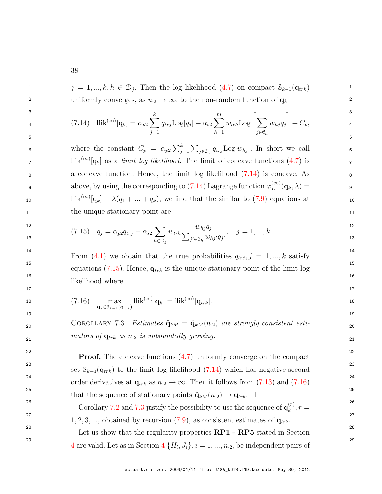<span id="page-39-1"></span><sup>1</sup>  $j = 1, ..., k, h \in \mathcal{D}_j$ . Then the log likelihood [\(4.7\)](#page-14-1) on compact  $\mathcal{S}_{k-1}(\mathbf{q}_{trk})$ 2 2 uniformly converges, as  $n_2 \to \infty$ , to the non-random function of  $\mathbf{q}_k$  2

3 3 4 4 5 5 (7.14) llik(∞) [qk] = αp<sup>2</sup> X k j=1 qtrjLog[q<sup>j</sup> ] + αs<sup>2</sup> Xm h=1 <sup>w</sup>trhLog "X j∈C<sup>h</sup> whjq<sup>j</sup> # + Cp,

6 where the constant  $C_p = \alpha_{p2} \sum_{j=1}^k \sum_{j \in \mathcal{D}_j} q_{trj} \text{Log}[w_{hj}]$ . In short we call  $\text{7}$  llik<sup>(∞)</sup>[q<sub>k</sub>] as a *limit log likelihood*. The limit of concave functions [\(4.7\)](#page-14-1) is 8 8 a concave function. Hence, the limit log likelihood [\(7.14\)](#page-39-1) is concave. As above, by using the corresponding to [\(7.14\)](#page-39-1) Lagrange function  $\varphi_L^{(\infty)}(\mathbf{q}_k, \lambda) =$ 10 llik<sup>(∞)</sup>[ $\mathbf{q}_k$ ] +  $\lambda(q_1 + ... + q_k)$ , we find that the similar to [\(7.9\)](#page-37-4) equations at 10 11 the unique stationary point are the unique stationary point are the stationary point are the stationary point are the stationary  $\frac{11}{2}$  $L^{(\infty)}({\bf q}_k,\lambda) =$ 

<span id="page-39-2"></span>
$$
(7.15) \t q_j = \alpha_{p2} q_{trj} + \alpha_{s2} \sum_{h \in \mathcal{D}_j} w_{trh} \frac{w_{hj} q_j}{\sum_{j' \in \mathcal{C}_h} w_{hj'} q_{j'}}, \t j = 1, ..., k.
$$

<sup>14</sup> From [\(4.1\)](#page-12-0) we obtain that the true probabilities  $q_{trj}, j = 1, ..., k$  satisfy 15 and  $\sim$  15 and  $\sim$  15 and  $\sim$  15 and  $\sim$  15 and  $\sim$  15 and  $\sim$  15 and  $\sim$  15 and  $\sim$  15 and  $\sim$  15 and  $\sim$  15 and  $\sim$  15 and  $\sim$  15 and  $\sim$  15 and  $\sim$  15 and  $\sim$  15 and  $\sim$  15 and  $\sim$  15 and  $\sim$  15 an 16 16 equations [\(7.15\)](#page-39-2). Hence,  $\mathbf{q}_{trk}$  is the unique stationary point of the limit log likelihood where

$$
\text{18} \qquad (7.16) \qquad \max_{\mathbf{q}_k \in \mathcal{S}_{k-1}(\mathbf{q}_{trk})} \text{llik}^{(\infty)}[\mathbf{q}_k] = \text{llik}^{(\infty)}[\mathbf{q}_{trk}]. \qquad \qquad \text{18}
$$

<span id="page-39-3"></span>17 17

<span id="page-39-0"></span> $19$ 

20 COROLLARY 7.3 Estimates  $\check{\mathbf{q}}_{kM} = \check{\mathbf{q}}_{kM}(n_2)$  are strongly consistent esti- $21$  mators of  $q_{trk}$  as n<sub>2</sub> is unboundedly growing.

 $22$  **Proof.** The concave functions  $(4.7)$  uniformly converge on the compact  $22$ <sup>23</sup> 23 set  $\mathcal{S}_{k-1}(\mathbf{q}_{trk})$  to the limit log likelihood [\(7.14\)](#page-39-1) which has negative second <sup>24</sup> order derivatives at  $\mathbf{q}_{trk}$  as  $n_2 \to \infty$ . Then it follows from [\(7.13\)](#page-38-3) and [\(7.16\)](#page-39-3)<sup>24</sup>  $25$  25 that the sequence of stationary points  $\check{\mathbf{q}}_{kM}(n_2) \to \mathbf{q}_{trk}$ .

<sup>26</sup> 26 Corollary [7.2](#page-38-0) and [7.3](#page-39-0) justify the possibility to use the sequence of  $\mathbf{q}_k^{(r)}$ ,  $r =$ 27 27 28 28 <sup>29</sup> [4](#page-11-0) are valid. Let as in Section  $4\{H_i, J_i\}$ ,  $i = 1, ..., n_2$ , be independent pairs of  $k^{(r)}$ ,  $r =$  $1, 2, 3, \ldots$ , obtained by recursion  $(7.9)$ , as consistent estimates of  $q_{trk}$ . Let us show that the regularity properties **RP1** - **RP5** stated in Section

ectaart.cls ver. 2006/04/11 file: JASA\_NOTBLIND.tex date: May 30, 2012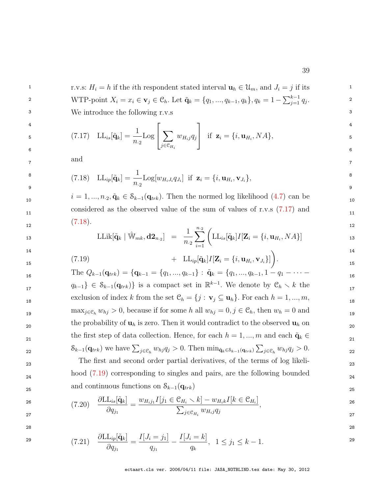<span id="page-40-0"></span>1 1 r.v.s: H<sup>i</sup> = h if the ith respondent stated interval u<sup>h</sup> ∈ Um, and J<sup>i</sup> = j if its 2 WTP-point  $X_i = x_i \in \mathbf{v}_j \in \mathcal{C}_h$ . Let  $\tilde{\mathbf{q}}_k = \{q_1, ..., q_{k-1}, q_k\}, q_k = 1 - \sum_{j=1}^{k-1} q_j$ . 3 3 We introduce the following r.v.s

$$
{}_{5} \qquad (7.17) \quad \text{LL}_{is}[\tilde{\mathbf{q}}_{k}] = \frac{1}{n_{.2}} \text{Log} \left[ \sum_{j \in \mathcal{C}_{H_{i}}} w_{H_{i}j} q_{j} \right] \quad \text{if} \quad \mathbf{z}_{i} = \{i, \mathbf{u}_{H_{i}}, NA\},
$$

<span id="page-40-1"></span>7 7 and

$$
\begin{array}{ll}\n^8 \text{ } & \text{(7.18)} \quad \text{LL}_{ip}[\tilde{\mathbf{q}}_k] = \frac{1}{n_{\cdot 2}} \text{Log}[w_{H_i J_i} q_{J_i}] \text{ if } \mathbf{z}_i = \{i, \mathbf{u}_{H_i}, \mathbf{v}_{J_i}\}, \\
^8 \quad \text{ } & \text{ } \\
\text{ } & \text{ } \\
\end{array}
$$

 $i = 1, ..., n_{.2}, \tilde{\mathbf{q}}_k \in \mathcal{S}_{k-1}(\mathbf{q}_{trk})$ . Then the normed log likelihood [\(4.7\)](#page-14-1) can be <sub>11</sub> considered as the observed value of the sum of values of r.v.s [\(7.17\)](#page-40-0) and  $\frac{11}{11}$  $\frac{n}{2}$  12  $(7.18).$  $(7.18).$ 

13  
\n
$$
LLik[\tilde{\mathbf{q}}_k | \hat{W}_{mk}, \mathbf{d2}_{n,2}] = \frac{1}{n_2} \sum_{i=1}^{n_2} \left( LL_{is}[\tilde{\mathbf{q}}_k]I[\mathbf{Z}_i = \{i, \mathbf{u}_{H_i}, NA\}] \right)
$$
\n14

<span id="page-40-2"></span>
$$
\begin{array}{cccc}\n\text{14} & & & \\
\text{15} & & & \\
\text{16} & & & \\
\text{17} & & & \\
\text{18} & & & \\
\text{19} & & & \\
\text{14} & & & \\
\text{15} & & & \\
\text{16} & & & \\
\text{17} & & & \\
\text{18} & & & \\
\text{19} & & & \\
\text{10} & & & \\
\text{11} & & & \\
\text{12} & & & \\
\text{13} & & & \\
\end{array}
$$

16 16  $Q_{k-1}(\mathbf{q}_{trk}) = \{\mathbf{q}_{k-1} = \{q_1, ..., q_{k-1}\}: \, \tilde{\mathbf{q}}_k = \{q_1, ..., q_{k-1}, 1 - q_1 - \cdots - q_k\}$ 17  $q_{k-1} \in S_{k-1}(\mathbf{q}_{trk})$  is a compact set in  $\mathbb{R}^{k-1}$ . We denote by  $\mathcal{C}_h \setminus k$  the exclusion of index k from the set  $\mathcal{C}_h = \{j : \mathbf{v}_j \subseteq \mathbf{u}_h\}$ . For each  $h = 1, ..., m$ ,  $\max_{j \in \mathcal{C}_h} w_{hj} > 0$ , because if for some h all  $w_{hj} = 0, j \in \mathcal{C}_h$ , then  $w_h = 0$  and the probability of  $\mathbf{u}_h$  is zero. Then it would contradict to the observed  $\mathbf{u}_h$  on the first step of data collection. Hence, for each  $h = 1, ..., m$  and each  $\tilde{\mathbf{q}}_k \in$  21 22  $S_{k-1}(\mathbf{q}_{trk})$  we have  $\sum_{j\in\mathfrak{S}_k} w_{hj}q_j > 0$ . Then  $\min_{\tilde{\mathbf{q}}_k\in\mathcal{S}_{k-1}(\mathbf{q}_{trk})} \sum_{j\in\mathfrak{S}_k} w_{hj}q_j > 0$ .

<span id="page-40-3"></span>The first and second order partial derivatives, of the terms of log likelihood 
$$
(7.19)
$$
 corresponding to singles and pairs, are the following bounded and continuous functions on  $\mathcal{S}_{k-1}(\mathbf{q}_{trk})$ 

<span id="page-40-4"></span>
$$
\frac{\partial \text{LL}_{is}[\tilde{\mathbf{q}}_k]}{\partial q_{j_1}} = \frac{w_{H_ij_1}I[j_1 \in \mathcal{C}_{H_i} \setminus k] - w_{H_ik}I[k \in \mathcal{C}_{H_i}]}{\sum_{j \in \mathcal{C}_{H_i}} w_{H_ij} q_j},
$$
\n
$$
27
$$

$$
(7.21) \quad \frac{\partial \text{LL}_{ip}[\tilde{\mathbf{q}}_k]}{\partial q_{j_1}} = \frac{I[J_i = j_1]}{q_{j_1}} - \frac{I[J_i = k]}{q_k}, \ \ 1 \le j_1 \le k - 1.
$$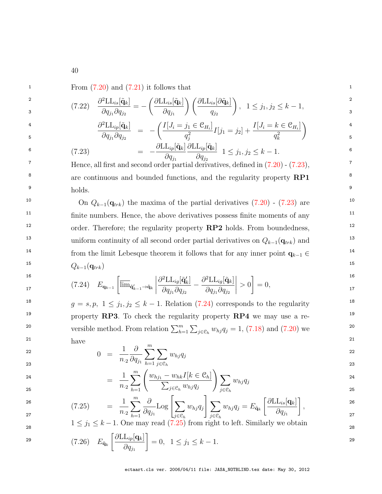<span id="page-41-3"></span> $1 \quad \text{From (7.20) and (7.21) it follows that}$  $1 \quad \text{From (7.20) and (7.21) it follows that}$  $1 \quad \text{From (7.20) and (7.21) it follows that}$  $1 \quad \text{From (7.20) and (7.21) it follows that}$  $1 \quad \text{From (7.20) and (7.21) it follows that}$ 

$$
\frac{a}{3} \qquad (7.22) \quad \frac{\partial^2 \text{LL}_{is}[\tilde{\mathbf{q}}_k]}{\partial q_{j_1} \partial q_{j_2}} = -\left(\frac{\partial \text{LL}_{is}[\tilde{\mathbf{q}}_k]}{\partial q_{j_1}}\right) \left(\frac{\partial \text{LL}_{is}[\partial \tilde{\mathbf{q}}_k]}{q_{j_2}}\right), \quad 1 \le j_1, j_2 \le k-1,
$$

$$
\frac{\partial^2 \text{LL}_{ip}[\tilde{\mathbf{q}}_k]}{\partial q_{j_1} \partial q_{j_2}} = -\left(\frac{I[J_i = j_1 \in \mathcal{C}_{H_i}]}{q_j^2} I[j_1 = j_2] + \frac{I[J_i = k \in \mathcal{C}_{H_i}]}{q_k^2}\right)^{4} \tag{4}
$$

<span id="page-41-0"></span>
$$
\begin{aligned}\n\mathbf{6} \qquad (7.23) \qquad &= -\frac{\partial \text{LL}_{ip}[\tilde{\mathbf{q}}_k]}{\partial q_{j_1}} \frac{\partial \text{LL}_{ip}[\tilde{\mathbf{q}}_k]}{\partial q_{j_2}} \quad 1 \le j_1, j_2 \le k - 1.\n\end{aligned}
$$
\nHence, all first and second order partial derivatives defined in (7.20), (7.23).

<sup>8</sup> are continuous and bounded functions, and the regularity property **RP1** <sup>8</sup>  $\frac{9}{2}$  bolds  $\frac{9}{2}$ Hence, all first and second order partial derivatives, defined in [\(7.20\)](#page-40-3) - [\(7.23\)](#page-41-0), holds.

<sup>10</sup> On  $Q_{k-1}(\mathbf{q}_{trk})$  the maxima of the partial derivatives  $(7.20)$  -  $(7.23)$  are <sup>10</sup> <sup>11</sup> finite numbers. Hence, the above derivatives possess finite moments of any <sup>11</sup> <sup>12</sup> order. Therefore; the regularity property **RP2** holds. From boundedness, 13 13 uniform continuity of all second order partial derivatives on Qk−1(qtrk) and <sup>14</sup> from the limit Lebesque theorem it follows that for any inner point  $\mathbf{q}_{k-1} \in$  $15$   $0.1(x_1)$   $15$  $Q_{k-1}(\mathbf{q}_{trk})$ 

<span id="page-41-1"></span>
$$
\begin{array}{lll}\n\text{16} & & \\
\text{17} & & \\
\text{18} & & \\
\text{19} & & \\
\text{10} & & \\
\text{11} & & \\
\text{12} & & \\
\text{13} & & \\
\text{14} & & \\
\text{15} & & \\
\text{16} & & \\
\text{17} & & \\
\text{18} & & \\
\text{19} & & \\
\text{10} & & \\
\text{11} & & \\
\text{12} & & \\
\text{13} & & \\
\text{14} & & \\
\text{15} & & \\
\text{16} & & \\
\text{17} & & \\
\text{18} & & \\
\text{19} & & \\
\text{10} & & \\
\text{11} & & \\
\text{12} & & \\
\text{13} & & \\
\text{14} & & \\
\text{15} & & \\
\text{16} & & \\
\text{17} & & \\
\text{18} & & \\
\text{19} & & \\
\text{19} & & \\
\text{10} & & \\
\text{11} & & \\
\text{12} & & \\
\text{13} & & \\
\text{14} & & \\
\text{15} & & \\
\text{16} & & \\
\text{17} & & \\
\text{18} & & \\
\text{19} & & \\
\text{19} & & \\
\text{10} & & \\
\text{11} & & \\
\text{12} & & \\
\text{13} & & \\
\text{14} & & \\
\text{15} & & \\
\text{16} & & \\
\text{17} & & \\
\text{18} & & \\
\text{19} & & \\
\text{10} & & \\
\text{11} & &
$$

<sup>18</sup>  $g = s, p, 1 \le j_1, j_2 \le k - 1$ . Relation [\(7.24\)](#page-41-1) corresponds to the regularity <sup>19</sup> 19 property **RP3**. To check the regularity property **RP4** we may use a re-<sup>20</sup> versible method. From relation  $\sum_{h=1}^{m} \sum_{j \in \mathcal{C}_h} w_{hj} q_j = 1$ , [\(7.18\)](#page-40-1) and [\(7.20\)](#page-40-3) we 21  $h_{\text{QNO}}$  21 have

$$
0 = \frac{1}{n_2} \frac{\partial}{\partial q_{j_1}} \sum_{h=1}^m \sum_{j \in \mathcal{C}_h} w_{hj} q_j
$$

<span id="page-41-2"></span>
$$
= \frac{1}{n_2} \sum_{h=1}^{m} \left( \frac{w_{hj_1} - w_{hk} I[k \in \mathcal{C}_h]}{\sum_{j \in \mathcal{C}_h} w_{hj} q_j} \right) \sum_{j \in \mathcal{C}_h} w_{hj} q_j
$$
\n
$$
= \frac{1}{n_2} \sum_{h=1}^{m} \left( \frac{w_{hj_1} - w_{hk} I[k \in \mathcal{C}_h]}{\sum_{j \in \mathcal{C}_h} w_{hj} q_j} \right) \sum_{j \in \mathcal{C}_h} w_{hj} q_j
$$
\n
$$
25
$$

$$
V^{25} = \frac{1}{h-1} \left\{ \begin{array}{cc} \sum_{j \in \mathcal{C}_h} w_{hj} q_j & \int_{j \in \mathcal{C}_h} \\ \sum_{j \in \mathcal{C}_h} w_{hj} q_j & \sum_{j \in \mathcal{C}_h} \end{array} \right\}
$$
\n
$$
V^{25} = \frac{1}{h-1} \sum_{j \in \mathcal{C}_h} \frac{\partial}{\partial q_{i}} \text{Log} \left[ \sum_{j \in \mathcal{C}_h} w_{hj} q_j \right] \sum_{j \in \mathcal{C}_h} w_{hj} q_j = E_{\tilde{\mathbf{q}}_k} \left[ \frac{\partial \text{LL}_{is}[\mathbf{q}_k]}{\partial q_{i}} \right],
$$
\n
$$
V^{25} = \frac{1}{h-1} \sum_{j \in \mathcal{C}_h} w_{hj} q_j
$$

$$
(7.25) = \frac{1}{n_2} \sum_{h=1}^{\infty} \frac{1}{\partial q_{j_1}} \log \left[ \sum_{j \in \mathcal{C}_h} w_{hj} q_j \right] \sum_{j \in \mathcal{C}_h} w_{hj} q_j = E_{\tilde{\mathbf{q}}_k} \left[ \frac{1}{\partial q_{j_1}} \right],
$$
  
  $1 \le j_1 \le k - 1$ . One may read (7.25) from right to left. Similarly we obtain

$$
E_{\tilde{\mathbf{q}}_k} \left[ \frac{\partial \text{LL}_{ip}[\mathbf{q}_k]}{\partial q_{j_1}} \right] = 0, \quad 1 \le j_1 \le k - 1.
$$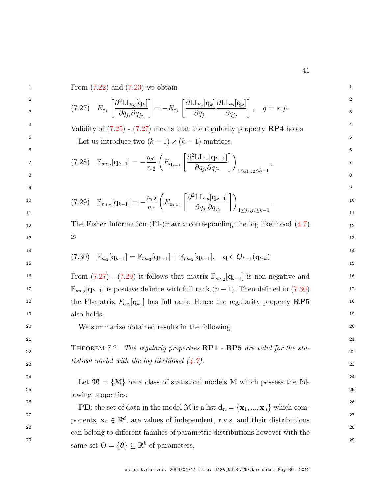<span id="page-42-1"></span> $1 \quad \text{From (7.22) and (7.23) we obtain}$  $1 \quad \text{From (7.22) and (7.23) we obtain}$  $1 \quad \text{From (7.22) and (7.23) we obtain}$  $1 \quad \text{From (7.22) and (7.23) we obtain}$  $1 \quad \text{From (7.22) and (7.23) we obtain}$  $2$   $\sqrt{2}T$   $\sqrt{1}$   $\sqrt{2}T$   $\sqrt{1}$   $\sqrt{2}T$   $\sqrt{1}$   $\sqrt{2}T$   $\sqrt{1}$   $\sqrt{2}T$   $\sqrt{1}$   $\sqrt{2}T$   $\sqrt{1}$   $\sqrt{2}T$   $\sqrt{1}$   $\sqrt{2}T$   $\sqrt{1}$   $\sqrt{2}T$   $\sqrt{1}$   $\sqrt{2}T$   $\sqrt{1}$   $\sqrt{2}T$   $\sqrt{1}$   $\sqrt{2}T$   $\sqrt{1}$   $\sqrt{2}T$   $\sqrt{$  $\begin{array}{cc} \mathcal{L}_{\tilde{\mathbf{q}}_k} & \frac{\partial^2 \mathbf{q}_{\mathcal{S}} \mathbf{q}_{\mathcal{S}}}{\partial q_{\mathcal{S}} \partial q_{\mathcal{S}}} \end{array} = -E_{\tilde{\mathbf{q}}_k} \left[ \frac{\partial^2 \mathbf{q}_{\mathcal{S}} \mathbf{q}_{\mathcal{S}} \mathbf{q}_{\mathcal{S}}}{\partial q_{\mathcal{S}} \partial q_{\mathcal{S}}} \right], \quad g=s,p.$ <sup>4</sup> Validity of  $(7.25)$  -  $(7.27)$  means that the regularity property  $\mathbb{RP}4$  holds.  $5 \qquad \qquad$  Let us introduce two  $(k-1) \times (k-1)$  matrices  $6$ 7  $(7.28)$   $\mathbb{F}_{sn.2}[\mathbf{q}_{k-1}] = -\frac{n_{s2}}{n} \left( E_{\mathbf{q}_{k-1}} \left[ \frac{\partial^2 \text{LL}_{1s}[\mathbf{q}_{k-1}]}{\partial s} \right] \right)$  , 8 a bhliain 2008 an t-Iomraid ann an t-Iomraid ann an t-Iomraid ann an t-Iomraid ann an t-Iomraid ann an 1808.<br>Bhaile an t-Iomraid ann an t-Iomraid ann an t-Iomraid ann an t-Iomraid ann an t-Iomraid ann an 1808. Tha an 18 9 9 10  $(T.29)$   $\mathbb{F}_{pn.2}[\mathbf{q}_{k-1}] = -\frac{n_{p2}}{n} \left( E_{\mathbf{q}_{k-1}} \left[ \frac{\partial^2 \text{LL}_{1p}[\mathbf{q}_{k-1}]}{\partial x \partial y} \right] \right)$  10 11  $\sum_{n=1}^{\infty} \frac{1}{n^2} \sum_{n=1}^{\infty} \frac{1}{n^2} \sum_{n=1}^{\infty} \frac{1}{n^2} \sum_{n=1}^{\infty} \frac{1}{n^2} \sum_{n=1}^{\infty} \frac{1}{n^2} \sum_{n=1}^{\infty} \frac{1}{n^2} \sum_{n=1}^{\infty} \frac{1}{n^2} \sum_{n=1}^{\infty} \frac{1}{n^2} \sum_{n=1}^{\infty} \frac{1}{n^2} \sum_{n=1}^{\infty} \frac{1}{n^2} \sum_{n=1}$ 12 The Fisher Information (FI-)matrix corresponding the log likelihood  $(4.7)$  12  $13$  13 14  $(7.30)$   $\mathbb{F}_{n,2}[\mathbf{q}_{k-1}]=\mathbb{F}_{sn,2}[\mathbf{q}_{k-1}]+\mathbb{F}_{pn,2}[\mathbf{q}_{k-1}],$   $\mathbf{q}\in Q_{k-1}(\mathbf{q}_{trk}).$  $15$  15 16 From  $(7.27)$  -  $(7.29)$  it follows that matrix  $\mathbb{F}_{sn_2}[\mathbf{q}_{k-1}]$  is non-negative and 16 <sup>17</sup> F<sub>pn⋅2</sub>[ $\mathbf{q}_{k-1}$ ] is positive definite with full rank  $(n-1)$ . Then defined in [\(7.30\)](#page-42-3)<sup>17</sup> <sup>18</sup> the FI-matrix  $F_{n_2}[\mathbf{q}_{k_1}]$  has full rank. Hence the regularity property  $\mathbf{RP5}$  <sup>18</sup> 19 19 also holds. 20 20 We summarize obtained results in the following 21 21 22 THEOREM 7.2 The regularly properties **RP1** - **RP5** are valid for the sta- $\text{23}$  tistical model with the log likelihood  $(4.7)$ . <sup>24</sup> <sup>24</sup> Let  $\mathfrak{M} = \{ \mathcal{M} \}$  be a class of statistical models M which possess the fol- $25$  25 **PD**: the set of data in the model M is a list  $\mathbf{d}_n = {\mathbf{x}_1, ..., \mathbf{x}_n}$  which com-<sup>27</sup> ponents,  $\mathbf{x}_i \in \mathbb{R}^d$ , are values of independent, r.v.s, and their distributions<sup>27</sup> 28 28 can belong to different families of parametric distributions however with the 29  $\text{same set } \Theta = \{ \theta \} \subseteq \mathbb{R}^k \text{ of parameters,}$  $\left[ \partial^2 \mathrm{LL}_{ig}[\mathbf{q}_k] \right]$  $\partial q_{j_1} \partial q_{j_2}$ 1  $=-E_{\tilde{\bf q}_k}$  $\lceil \partial \text{LL}_{is}[\mathbf{q}_k] \rceil$  $\partial q_{j_1}$  $\partial{\rm LL}_{is}[{\bf q}_k]$  $\partial q_{j_2}$ 1  $, \quad g = s, p.$  $n_{\cdot 2}$  $\sqrt{ }$  $E_{\mathbf{q}_{k-1}}$  $\left[ \partial^2 \text{LL}_{1s}[\mathbf{q}_{k-1}]\right]$  $\partial q_{j_1} \partial q_{j_2}$  $\bigwedge$  $1 \leq j_1, j_2 \leq k-1$ ,  $n_{\cdot 2}$  $\sqrt{ }$  $E_{\mathbf{q}_{k-1}}$  $\left[ \partial^2 \text{LL}_{1p}[\mathbf{q}_{k-1}]\right]$  $\partial q_{j_1} \partial q_{j_2}$  $\bigwedge$  $1\leq j_1,j_2\leq k-1$ . is lowing properties:

<span id="page-42-3"></span><span id="page-42-2"></span><span id="page-42-0"></span>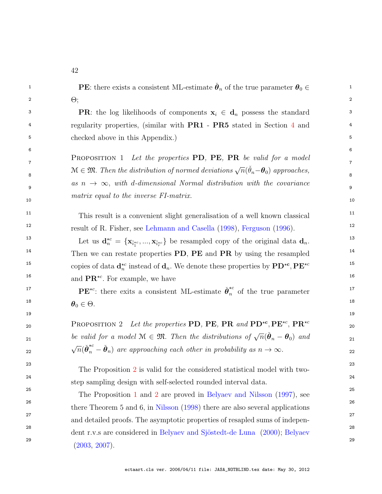<span id="page-43-1"></span><span id="page-43-0"></span>

| 1  | <b>PE</b> : there exists a consistent ML-estimate $\hat{\theta}_n$ of the true parameter $\theta_0 \in$                                                                 | 1              |
|----|-------------------------------------------------------------------------------------------------------------------------------------------------------------------------|----------------|
| 2  | $\Theta$ ;                                                                                                                                                              | 2              |
| 3  | <b>PR</b> : the log likelihoods of components $x_i \in d_n$ possess the standard                                                                                        | 3              |
| 4  | regularity properties, (similar with PR1 - PR5 stated in Section 4 and                                                                                                  | 4              |
| 5  | checked above in this Appendix.)                                                                                                                                        | 5              |
| 6  |                                                                                                                                                                         | 6              |
| 7  | <b>PROPOSITION 1</b> Let the properties PD, PE, PR be valid for a model                                                                                                 | $\overline{7}$ |
| 8  | $\mathcal{M} \in \mathfrak{M}$ . Then the distribution of normed deviations $\sqrt{n}(\tilde{\theta}_n - \theta_0)$ approaches,                                         | 8              |
| 9  | as $n \to \infty$ , with d-dimensional Normal distribution with the covariance                                                                                          | 9              |
| 10 | matrix equal to the inverse FI-matrix.                                                                                                                                  | 10             |
| 11 | This result is a convenient slight generalisation of a well known classical                                                                                             | 11             |
| 12 | result of R. Fisher, see Lehmann and Casella (1998), Ferguson (1996).                                                                                                   | 12             |
| 13 | Let us $\mathbf{d}_n^{\star c} = {\mathbf{x}_{\tilde{i}_1^{\star c}}, , \mathbf{x}_{\tilde{i}_r^{\star c}}}$ be resampled copy of the original data $\mathbf{d}_n$ .    | 13             |
| 14 | Then we can restate properties PD, PE and PR by using the resampled                                                                                                     | 14             |
| 15 | copies of data $\mathbf{d}_n^{\star c}$ instead of $\mathbf{d}_n$ . We denote these properties by $\mathbf{P} \mathbf{D}^{\star c}$ , $\mathbf{P} \mathbf{E}^{\star c}$ | 15             |
| 16 | and $\mathbf{PR}^{\star c}$ . For example, we have                                                                                                                      | 16             |
| 17 | $\mathbf{P} \mathbf{E}^{\star c}$ : there exits a consistent ML-estimate $\check{\theta}_n^{\star c}$ of the true parameter                                             | 17             |
| 18 | $\boldsymbol{\theta}_0 \in \Theta.$                                                                                                                                     | 18             |
| 19 |                                                                                                                                                                         | 19             |
| 20 | <b>PROPOSITION</b> 2 Let the properties PD, PE, PR and $PD^{\star c}$ , PE <sup><math>\star c</math></sup> , PR <sup><math>\star c</math></sup>                         | 20             |
| 21 | be valid for a model $\mathcal{M} \in \mathfrak{M}$ . Then the distributions of $\sqrt{n}(\check{\theta}_n - \theta_0)$ and                                             | 21             |
| 22 | $\sqrt{n}(\check{\theta}_n^{\star c} - \check{\theta}_n)$ are approaching each other in probability as $n \to \infty$ .                                                 | 22             |
| 23 |                                                                                                                                                                         | 23             |
| 24 | The Proposition 2 is valid for the considered statistical model with two-                                                                                               | 24             |
| 25 | step sampling design with self-selected rounded interval data.                                                                                                          | 25             |
| 26 | The Proposition 1 and 2 are proved in Belyaev and Nilsson (1997), see                                                                                                   | 26             |
| 27 | there Theorem $5$ and $6$ , in Nilsson (1998) there are also several applications                                                                                       | 27             |
| 28 | and detailed proofs. The asymptotic properties of resapled sums of indepen-                                                                                             | 28             |
| 29 | dent r.v.s are considered in Belyaev and Sjöstedt-de Luna (2000); Belyaev<br>(2003, 2007).                                                                              | 29             |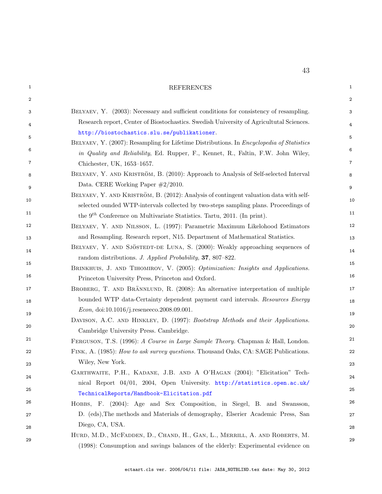<span id="page-44-13"></span><span id="page-44-12"></span><span id="page-44-11"></span><span id="page-44-10"></span><span id="page-44-9"></span><span id="page-44-8"></span><span id="page-44-7"></span><span id="page-44-6"></span><span id="page-44-5"></span><span id="page-44-4"></span><span id="page-44-3"></span><span id="page-44-2"></span><span id="page-44-1"></span><span id="page-44-0"></span>

| 1  | <b>REFERENCES</b>                                                                                                                                                      | $\mathbf{1}$     |
|----|------------------------------------------------------------------------------------------------------------------------------------------------------------------------|------------------|
| 2  |                                                                                                                                                                        | $\boldsymbol{2}$ |
| 3  | BELYAEV, Y. (2003): Necessary and sufficient conditions for consistency of resampling.                                                                                 | 3                |
| 4  | Research report, Center of Biostochastics. Swedish University of Agricultutal Sciences.                                                                                | 4                |
| 5  | http://biostochastics.slu.se/publikationer.                                                                                                                            | 5                |
| 6  | BELYAEV, Y. (2007): Resampling for Lifetime Distributions. In <i>Encyclopedia of Statistics</i>                                                                        | 6                |
|    | in Quality and Reliability, Ed. Rupper, F., Kennet, R., Faltin, F.W. John Wiley,                                                                                       |                  |
| 7  | Chichester, UK, 1653-1657.                                                                                                                                             | 7                |
| 8  | BELYAEV, Y. AND KRISTRÖM, B. (2010): Approach to Analysis of Self-selected Interval                                                                                    | 8                |
| 9  | Data. CERE Working Paper $\#2/2010$ .<br>BELYAEV, Y. AND KRISTRÖM, B. (2012): Analysis of contingent valuation data with self-                                         | 9                |
| 10 | selected ounded WTP-intervals collected by two-steps sampling plans. Proceedings of                                                                                    | 10               |
| 11 | the $9th$ Conference on Multivariate Statistics. Tartu, 2011. (In print).                                                                                              | 11               |
| 12 | BELYAEV, Y. AND NILSSON, L. (1997): Parametric Maximum Likelohood Estimators                                                                                           | 12               |
| 13 | and Resampling. Research report, N15. Department of Mathematical Statistics.                                                                                           | 13               |
| 14 | BELYAEV, Y. AND SJÖSTEDT-DE LUNA, S. (2000): Weakly approaching sequences of                                                                                           | 14               |
|    | random distributions. J. Applied Probability, 37, 807-822.                                                                                                             |                  |
| 15 | BRINKHUIS, J. AND TIHOMIROV, V. (2005): Optimization: Insights and Applications.                                                                                       | 15               |
| 16 | Princeton University Press, Princeton and Oxford.                                                                                                                      | 16               |
| 17 | BROBERG, T. AND BRÄNNLUND, R. (2008): An alternative interpretation of multiple                                                                                        | 17               |
| 18 | bounded WTP data-Certainty dependent payment card intervals. Resources Energy                                                                                          | 18               |
| 19 | Econ, doi:10.1016/j.reseneeco.2008.09.001.                                                                                                                             | 19               |
| 20 | DAVISON, A.C. AND HINKLEY, D. (1997): Bootstrap Methods and their Applications.                                                                                        | 20               |
| 21 | Cambridge University Press. Cambridge.                                                                                                                                 | 21               |
| 22 | FERGUSON, T.S. (1996): A Course in Large Sample Theory. Chapman & Hall, London.<br>FINK, A. (1985): How to ask survey questions. Thousand Oaks, CA: SAGE Publications. | 22               |
|    | Wiley, New York.                                                                                                                                                       |                  |
| 23 | GARTHWAITE, P.H., KADANE, J.B. AND A O'HAGAN (2004): "Elicitation" Tech-                                                                                               | 23               |
| 24 | nical Report 04/01, 2004, Open University. http://statistics.open.ac.uk/                                                                                               | 24               |
| 25 | TechnicalReports/Handbook-Elicitation.pdf                                                                                                                              | 25               |
| 26 | HOBBS, F. (2004): Age and Sex Composition, in Siegel, B. and Swansson,                                                                                                 | 26               |
| 27 | D. (eds), The methods and Materials of demography, Elserier Academic Press, San                                                                                        | 27               |
| 28 | Diego, CA, USA.                                                                                                                                                        | 28               |
| 29 | HURD, M.D., MCFADDEN, D., CHAND, H., GAN, L., MERRILL, A. AND ROBERTS, M.                                                                                              | 29               |
|    | (1998): Consumption and savings balances of the elderly: Experimental evidence on                                                                                      |                  |